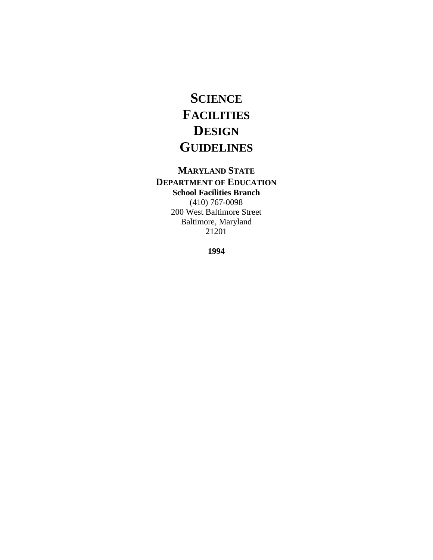# **SCIENCE FACILITIES DESIGN GUIDELINES**

## **MARYLAND STATE DEPARTMENT OF EDUCATION School Facilities Branch**

(410) 767-0098 200 West Baltimore Street Baltimore, Maryland 21201

**1994**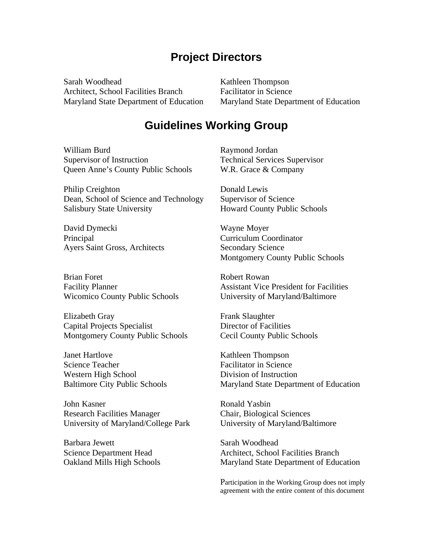## **Project Directors**

Sarah Woodhead Kathleen Thompson Architect, School Facilities Branch Facilitator in Science

Maryland State Department of Education Maryland State Department of Education

## **Guidelines Working Group**

William Burd Supervisor of Instruction Queen Anne's County Public Schools

Philip Creighton Dean, School of Science and Technology Salisbury State University

David Dymecki Principal Ayers Saint Gross, Architects

Brian Foret Facility Planner Wicomico County Public Schools

Elizabeth Gray Capital Projects Specialist Montgomery County Public Schools

Janet Hartlove Science Teacher Western High School Baltimore City Public Schools

John Kasner Research Facilities Manager University of Maryland/College Park

Barbara Jewett Science Department Head Oakland Mills High Schools Raymond Jordan Technical Services Supervisor W.R. Grace & Company

Donald Lewis Supervisor of Science Howard County Public Schools

Wayne Moyer Curriculum Coordinator Secondary Science Montgomery County Public Schools

Robert Rowan Assistant Vice President for Facilities University of Maryland/Baltimore

Frank Slaughter Director of Facilities Cecil County Public Schools

Kathleen Thompson Facilitator in Science Division of Instruction Maryland State Department of Education

Ronald Yasbin Chair, Biological Sciences University of Maryland/Baltimore

Sarah Woodhead Architect, School Facilities Branch Maryland State Department of Education

Participation in the Working Group does not imply agreement with the entire content of this document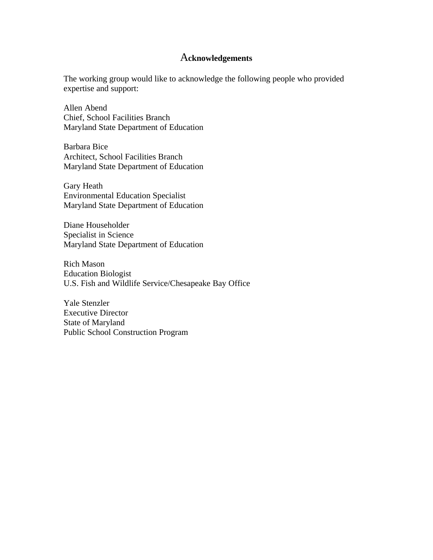### A**cknowledgements**

The working group would like to acknowledge the following people who provided expertise and support:

Allen Abend Chief, School Facilities Branch Maryland State Department of Education

Barbara Bice Architect, School Facilities Branch Maryland State Department of Education

Gary Heath Environmental Education Specialist Maryland State Department of Education

Diane Householder Specialist in Science Maryland State Department of Education

Rich Mason Education Biologist U.S. Fish and Wildlife Service/Chesapeake Bay Office

Yale Stenzler Executive Director State of Maryland Public School Construction Program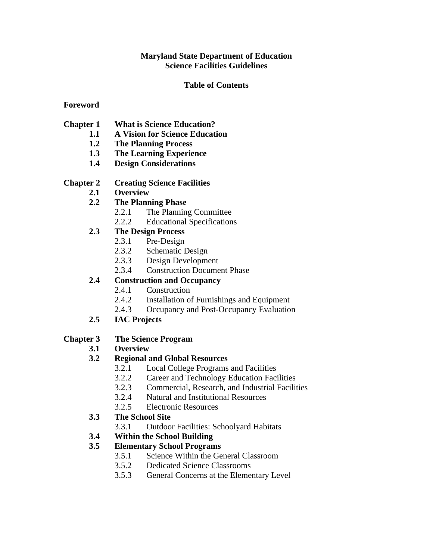### **Maryland State Department of Education Science Facilities Guidelines**

### **Table of Contents**

#### **Foreword**

- **Chapter 1 What is Science Education?** 
	- **1.1 A Vision for Science Education**
	- **1.2 The Planning Process**
	- **1.3 The Learning Experience**
	- **1.4 Design Considerations**

#### **Chapter 2 Creating Science Facilities**

- **2.1 Overview**
- **2.2 The Planning Phase**
	- 2.2.1 The Planning Committee
	- 2.2.2 Educational Specifications

## **2.3 The Design Process**

- 2.3.1 Pre-Design
- 2.3.2 Schematic Design
- 2.3.3 Design Development
- 2.3.4 Construction Document Phase

## **2.4 Construction and Occupancy**

- 2.4.1 Construction
- 2.4.2 Installation of Furnishings and Equipment
- 2.4.3 Occupancy and Post-Occupancy Evaluation
- **2.5 IAC Projects**

## **Chapter 3 The Science Program**

# **3.1 Overview**

#### **3.2 Regional and Global Resources**

- 3.2.1 Local College Programs and Facilities
- 3.2.2 Career and Technology Education Facilities
- 3.2.3 Commercial, Research, and Industrial Facilities
- 3.2.4 Natural and Institutional Resources
- 3.2.5 Electronic Resources
- **3.3 The School Site**
	- 3.3.1 Outdoor Facilities: Schoolyard Habitats
- **3.4 Within the School Building**

## **3.5 Elementary School Programs**

- 3.5.1 Science Within the General Classroom
- 3.5.2 Dedicated Science Classrooms
- 3.5.3 General Concerns at the Elementary Level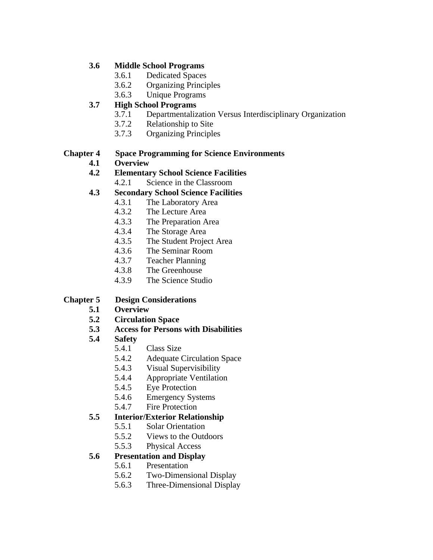#### **3.6 Middle School Programs**

- 3.6.1 Dedicated Spaces
- 3.6.2 Organizing Principles
- 3.6.3 Unique Programs

#### **High School Programs 3.7**

- 3.7.1 Departmentalization Versus Interdisciplinary Organization
	- 3.7.2 Relationship to Site
	- 3.7.3 Organizing Principles

#### **Chapter 4 Space Programming for Science Environments**

**4.1 Overview**

## **4.2 Elementary School Science Facilities**

4.2.1 Science in the Classroom

## **4.3 Secondary School Science Facilities**

- 4.3.1 The Laboratory Area
- 4.3.2 The Lecture Area
- 4.3.3 The Preparation Area
- 4.3.4 The Storage Area
- 4.3.5 The Student Project Area
- 4.3.6 The Seminar Room
- 4.3.7 Teacher Planning
- 4.3.8 The Greenhouse
- 4.3.9 The Science Studio

## **Chapter 5 Design Considerations**

- **5.1 Overview**
- **5.2 Circulation Space**
- **5.3 Access for Persons with Disabilities**
- **5.4 Safety**
	- 5.4.1 Class Size
	- 5.4.2 Adequate Circulation Space
	- 5.4.3 Visual Supervisibility
	- 5.4.4 Appropriate Ventilation
	- 5.4.5 Eye Protection
	- 5.4.6 Emergency Systems
	- 5.4.7 Fire Protection

## **5.5 Interior/Exterior Relationship**

- 5.5.1 Solar Orientation
- 5.5.2 Views to the Outdoors
- 5.5.3 Physical Access

## **5.6 Presentation and Display**

- 5.6.1 Presentation
- 5.6.2 Two-Dimensional Display
- 5.6.3 Three-Dimensional Display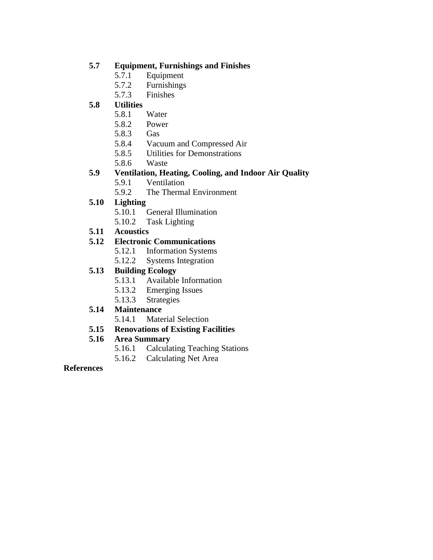### **5.7 Equipment, Furnishings and Finishes**

- 5.7.1 Equipment
- 5.7.2 Furnishings
- 5.7.3 Finishes

#### **5.8 Utilities**

- 5.8.1 Water
- 5.8.2 Power
- 5.8.3 Gas
- 5.8.4 Vacuum and Compressed Air
- 5.8.5 Utilities for Demonstrations
- 5.8.6 Waste

## **5.9 Ventilation, Heating, Cooling, and Indoor Air Quality**

- 5.9.1 Ventilation
- 5.9.2 The Thermal Environment

#### **5.10 Lighting**

- 5.10.1 General Illumination
- 5.10.2 Task Lighting
- **5.11 Acoustics**

#### **5.12 Electronic Communications**

- 5.12.1 Information Systems
- 5.12.2 Systems Integration

#### **5.13 Building Ecology**

- 5.13.1 Available Information
- 5.13.2 Emerging Issues
- 5.13.3 Strategies

#### **5.14 Maintenance**

- 5.14.1 Material Selection
- **5.15 Renovations of Existing Facilities**

#### **5.16 Area Summary**

- 5.16.1 Calculating Teaching Stations
- 5.16.2 Calculating Net Area

#### **References**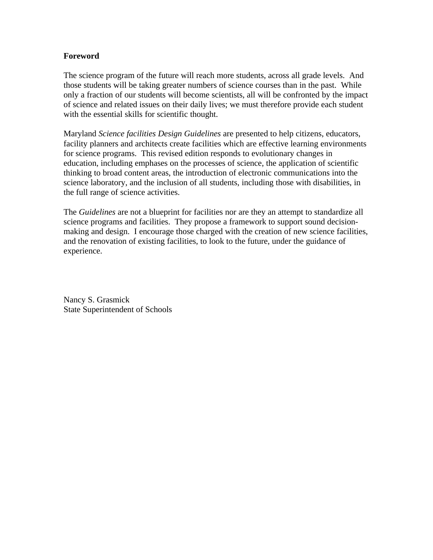#### **Foreword**

The science program of the future will reach more students, across all grade levels. And those students will be taking greater numbers of science courses than in the past. While only a fraction of our students will become scientists, all will be confronted by the impact of science and related issues on their daily lives; we must therefore provide each student with the essential skills for scientific thought.

Maryland *Science facilities Design Guidelines* are presented to help citizens, educators, facility planners and architects create facilities which are effective learning environments for science programs. This revised edition responds to evolutionary changes in education, including emphases on the processes of science, the application of scientific thinking to broad content areas, the introduction of electronic communications into the science laboratory, and the inclusion of all students, including those with disabilities, in the full range of science activities.

The *Guidelines* are not a blueprint for facilities nor are they an attempt to standardize all science programs and facilities. They propose a framework to support sound decisionmaking and design. I encourage those charged with the creation of new science facilities, and the renovation of existing facilities, to look to the future, under the guidance of experience.

Nancy S. Grasmick State Superintendent of Schools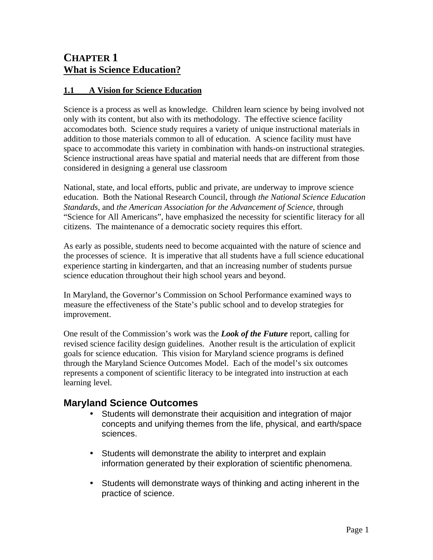## **CHAPTER 1 What is Science Education?**

## **1.1 A Vision for Science Education**

Science is a process as well as knowledge. Children learn science by being involved not only with its content, but also with its methodology. The effective science facility accomodates both. Science study requires a variety of unique instructional materials in addition to those materials common to all of education. A science facility must have space to accommodate this variety in combination with hands-on instructional strategies. Science instructional areas have spatial and material needs that are different from those considered in designing a general use classroom

National, state, and local efforts, public and private, are underway to improve science education. Both the National Research Council, through *the National Science Education Standards*, and *the American Association for the Advancement of Science*, through "Science for All Americans", have emphasized the necessity for scientific literacy for all citizens. The maintenance of a democratic society requires this effort.

As early as possible, students need to become acquainted with the nature of science and the processes of science. It is imperative that all students have a full science educational experience starting in kindergarten, and that an increasing number of students pursue science education throughout their high school years and beyond.

In Maryland, the Governor's Commission on School Performance examined ways to measure the effectiveness of the State's public school and to develop strategies for improvement.

One result of the Commission's work was the *Look of the Future* report, calling for revised science facility design guidelines. Another result is the articulation of explicit goals for science education. This vision for Maryland science programs is defined through the Maryland Science Outcomes Model. Each of the model's six outcomes represents a component of scientific literacy to be integrated into instruction at each learning level.

## **Maryland Science Outcomes**

- Students will demonstrate their acquisition and integration of major concepts and unifying themes from the life, physical, and earth/space sciences.
- Students will demonstrate the ability to interpret and explain information generated by their exploration of scientific phenomena.
- Students will demonstrate ways of thinking and acting inherent in the practice of science.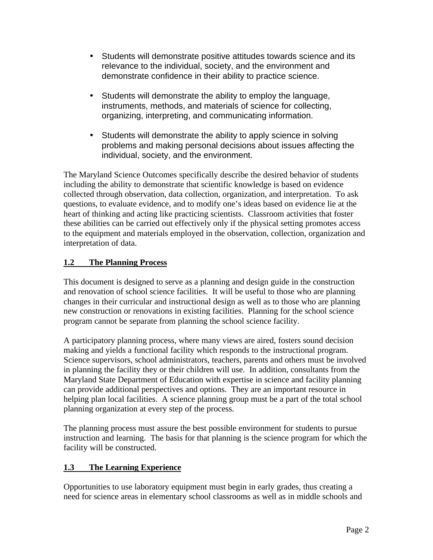- Students will demonstrate positive attitudes towards science and its relevance to the individual, society, and the environment and demonstrate confidence in their ability to practice science.
- Students will demonstrate the ability to employ the language, instruments, methods, and materials of science for collecting, organizing, interpreting, and communicating information.
- Students will demonstrate the ability to apply science in solving problems and making personal decisions about issues affecting the individual, society, and the environment.

The Maryland Science Outcomes specifically describe the desired behavior of students including the ability to demonstrate that scientific knowledge is based on evidence collected through observation, data collection, organization, and interpretation. To ask questions, to evaluate evidence, and to modify one's ideas based on evidence lie at the heart of thinking and acting like practicing scientists. Classroom activities that foster these abilities can be carried out effectively only if the physical setting promotes access to the equipment and materials employed in the observation, collection, organization and interpretation of data.

## **1.2 The Planning Process**

This document is designed to serve as a planning and design guide in the construction and renovation of school science facilities. It will be useful to those who are planning changes in their curricular and instructional design as well as to those who are planning new construction or renovations in existing facilities. Planning for the school science program cannot be separate from planning the school science facility.

A participatory planning process, where many views are aired, fosters sound decision making and yields a functional facility which responds to the instructional program. Science supervisors, school administrators, teachers, parents and others must be involved in planning the facility they or their children will use. In addition, consultants from the Maryland State Department of Education with expertise in science and facility planning can provide additional perspectives and options. They are an important resource in helping plan local facilities. A science planning group must be a part of the total school planning organization at every step of the process.

The planning process must assure the best possible environment for students to pursue instruction and learning. The basis for that planning is the science program for which the facility will be constructed.

## **1.3 The Learning Experience**

Opportunities to use laboratory equipment must begin in early grades, thus creating a need for science areas in elementary school classrooms as well as in middle schools and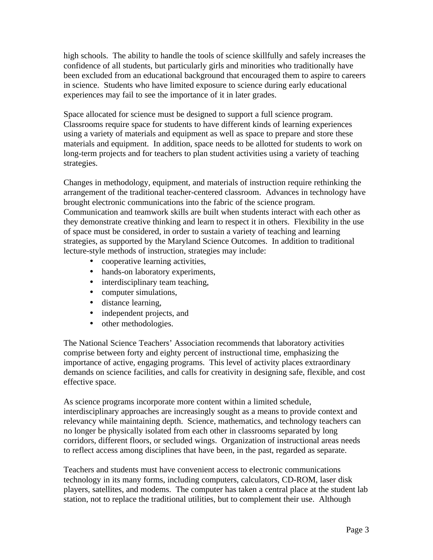high schools. The ability to handle the tools of science skillfully and safely increases the confidence of all students, but particularly girls and minorities who traditionally have been excluded from an educational background that encouraged them to aspire to careers in science. Students who have limited exposure to science during early educational experiences may fail to see the importance of it in later grades.

Space allocated for science must be designed to support a full science program. Classrooms require space for students to have different kinds of learning experiences using a variety of materials and equipment as well as space to prepare and store these materials and equipment. In addition, space needs to be allotted for students to work on long-term projects and for teachers to plan student activities using a variety of teaching strategies.

Changes in methodology, equipment, and materials of instruction require rethinking the arrangement of the traditional teacher-centered classroom. Advances in technology have brought electronic communications into the fabric of the science program. Communication and teamwork skills are built when students interact with each other as they demonstrate creative thinking and learn to respect it in others. Flexibility in the use of space must be considered, in order to sustain a variety of teaching and learning strategies, as supported by the Maryland Science Outcomes. In addition to traditional lecture-style methods of instruction, strategies may include:

- cooperative learning activities,
- hands-on laboratory experiments,
- interdisciplinary team teaching,
- computer simulations.
- distance learning,
- independent projects, and
- other methodologies.

The National Science Teachers' Association recommends that laboratory activities comprise between forty and eighty percent of instructional time, emphasizing the importance of active, engaging programs. This level of activity places extraordinary demands on science facilities, and calls for creativity in designing safe, flexible, and cost effective space.

As science programs incorporate more content within a limited schedule, interdisciplinary approaches are increasingly sought as a means to provide context and relevancy while maintaining depth. Science, mathematics, and technology teachers can no longer be physically isolated from each other in classrooms separated by long corridors, different floors, or secluded wings. Organization of instructional areas needs to reflect access among disciplines that have been, in the past, regarded as separate.

Teachers and students must have convenient access to electronic communications technology in its many forms, including computers, calculators, CD-ROM, laser disk players, satellites, and modems. The computer has taken a central place at the student lab station, not to replace the traditional utilities, but to complement their use. Although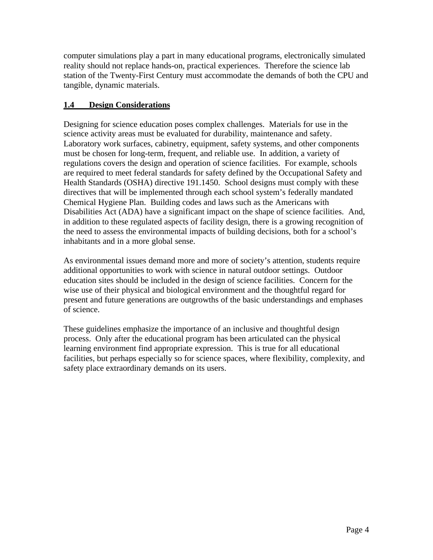computer simulations play a part in many educational programs, electronically simulated reality should not replace hands-on, practical experiences. Therefore the science lab station of the Twenty-First Century must accommodate the demands of both the CPU and tangible, dynamic materials.

## **1.4 Design Considerations**

Designing for science education poses complex challenge s. Materials for use in the science activity areas must be evaluated for durability, m aintenance and safety. Laboratory work surfaces, cabinetry, equipment, safety s ystems, and other components must be chosen for long-term, frequent, and reliable use. In addition, a variety of regulations covers the design and operation of science facilities. For example, schools are required to meet federal standards for safety defined by the Occupational Safety and Health Standards (OSHA) directive 191.1450. School designs must comply with these directives that will be implemented through each school system's federally mandated Chemical Hygiene Plan. Building codes and laws such as the Americans with Disabilities Act (ADA) have a significant impact on the shape of science facilities. And, in addition to these regulated aspects of facility design, there is a growing recognition of the need to assess the environmental impacts of building decisions, both for a school's inhabitants and in a more global sense.

As environmental issues demand more and more of society's attention, students require additional opportunities to work with science in natural outdoor settings. Outdoor education sites should be included in the design of science facilities. Concern for the wise use of their physical and biological environment and the thoughtful regard for present and future generations are outgrowths of the basic understandings and emphases of science.

These guidelines emphasize the importance of an inclusive and thoughtful design process. Only after the educational program has been articulated can the physical learning environment find appropriate expression. This is true for all educational facilities, but perhaps especially so for science spaces, where flexibility, complexity, and safety place extraordinary demands on its users.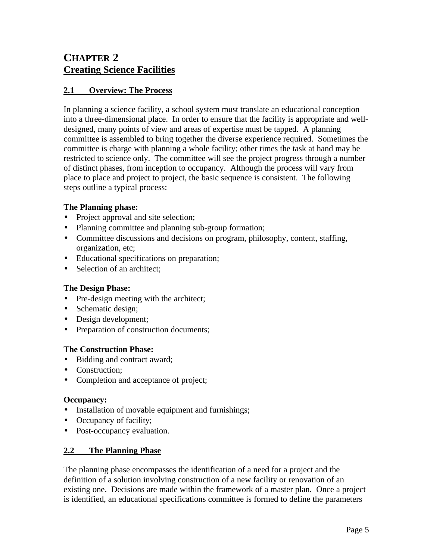## **CHAPTER 2 Creating Science Facilities**

## **2.1 Overview: The Process**

In planning a science facility, a school system must translate an educational conception into a three-dimensional place. In order to ensure that the facility is appropriate and welldesigned, many points of view and areas of expertise must be tapped. A planning committee is assembled to bring together the diverse experience required. Sometimes the committee is charge with planning a whole facility; other times the task at hand may be restricted to science only. The committee will see the project progress through a number of distinct phases, from inception to occupancy. Although the process will vary from place to place and project to project, the basic sequence is consistent. The following steps outline a typical process:

#### **The Planning phase:**

- Project approval and site selection;
- Planning committee and planning sub-group formation;
- Committee discussions and decisions on program, philosophy, content, staffing, organization, etc;
- Educational specifications on preparation;
- Selection of an architect:

#### **The Design Phase:**

- Pre-design meeting with the architect;
- Schematic design;
- Design development;
- Preparation of construction documents;

#### **The Construction Phase:**

- Bidding and contract award;
- Construction;
- Completion and acceptance of project;

#### **Occupancy:**

- Installation of movable equipment and furnishings;
- Occupancy of facility;
- Post-occupancy evaluation.

## **2.2 The Planning Phase**

The planning phase encompasses the identification of a need for a project and the definition of a solution involving construction of a new facility or renovation of an existing one. Decisions are made within the framework of a master plan. Once a project is identified, an educational specifications committee is formed to define the parameters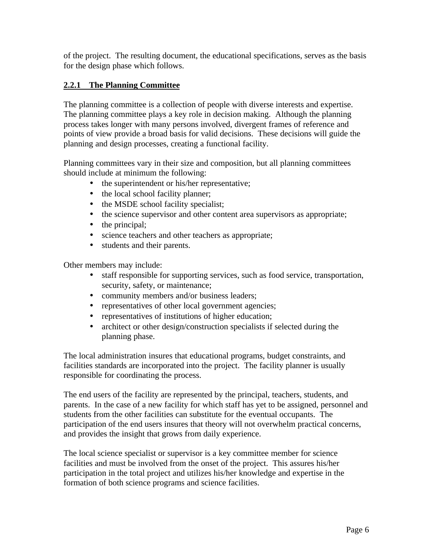of the project. The resulting document, the educational specifications, serves as the basis for the design phase which follows.

## **2.2.1 The Planning Committee**

The planning committee is a collection of people with diverse interests and expertise. The planning committee plays a key role in decision making. Although the planning process takes longer with many persons involved, divergent frames of reference and points of view provide a broad basis for valid decisions. These decisions will guide the planning and design processes, creating a functional facility.

Planning committees vary in their size and composition, but all planning committees should include at minimum the following:

- the superintendent or his/her representative;
- the local school facility planner;
- the MSDE school facility specialist;
- the science supervisor and other content area supervisors as appropriate;
- the principal;
- science teachers and other teachers as appropriate;
- students and their parents.

Other members may include:

- staff responsible for supporting services, such as food service, transportation, security, safety, or maintenance;
- community members and/or business leaders;
- representatives of other local government agencies;
- representatives of institutions of higher education;
- architect or other design/construction specialists if selected during the planning phase.

The local administration insures that educational programs, budget constraints, and facilities standards are incorporated into the project. The facility planner is usually responsible for coordinating the process.

The end users of the facility are represented by the principal, teachers, students, and parents. In the case of a new facility for which staff has yet to be assigned, personnel and students from the other facilities can substitute for the eventual occupants. The participation of the end users insures that theory will not overwhelm practical concerns, and provides the insight that grows from daily experience.

The local science specialist or supervisor is a key committee member for science facilities and must be involved from the onset of the project. This assures his/her participation in the total project and utilizes his/her knowledge and expertise in the formation of both science programs and science facilities.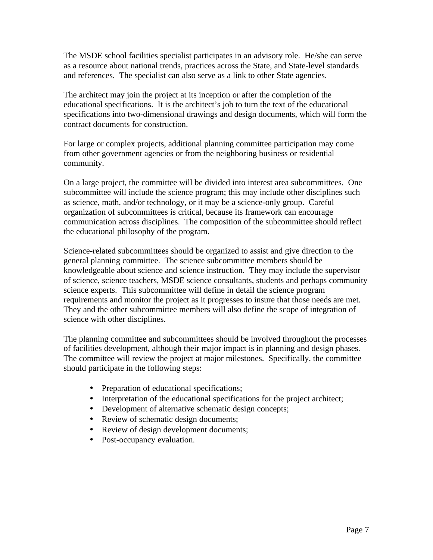The MSDE school facilities specialist participates in an advisory role. He/she can serve as a resource about national trends, practices across the State, and State-level standards and references. The specialist can also serve as a link to other State agencies.

The architect may join the project at its inception or after the completion of the educational specifications. It is the architect's job to turn the text of the educational specifications into two-dimensional drawings and design documents, which will form the contract documents for construction.

For large or complex projects, additional planning committee participation may come from other government agencies or from the neighboring business or residential community.

On a large project, the committee will be divided into interest area subcommittees. One subcommittee will include the science program; this may include other disciplines such as science, math, and/or technology, or it may be a science-only group. Careful organization of subcommittees is critical, because its framework can encourage communication across disciplines. The composition of the subcommittee should reflect the educational philosophy of the program.

Science-related subcommittees should be organized to assist and give direction to the general planning committee. The science subcommittee members should be knowledgeable about science and science instruction. They may include the supervisor of science, science teachers, MSDE science consultants, students and perhaps community science experts. This subcommittee will define in detail the science program requirements and monitor the project as it progresses to insure that those needs are met. They and the other subcommittee members will also define the scope of integration of science with other disciplines.

The planning committee and subcommittees should be involved throughout the processes of facilities development, although their major impact is in planning and design phases. The committee will review the project at major milestones. Specifically, the committee should participate in the following steps:

- Preparation of educational specifications;
- Interpretation of the educational specifications for the project architect;
- Development of alternative schematic design concepts;
- Review of schematic design documents;
- Review of design development documents;
- Post-occupancy evaluation.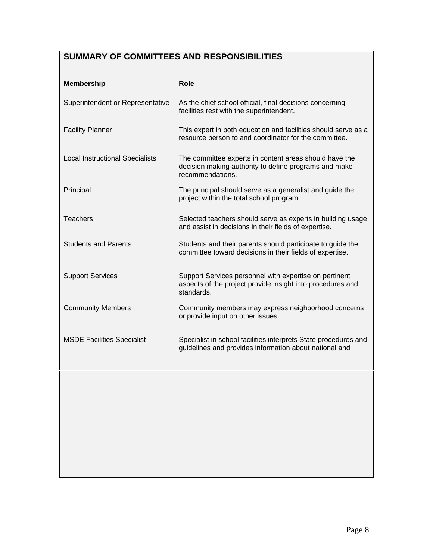## **SUMMARY OF COMMITTEES AND RESPONSIBILITIES**

| <b>Membership</b>                      | <b>Role</b>                                                                                                                         |  |
|----------------------------------------|-------------------------------------------------------------------------------------------------------------------------------------|--|
| Superintendent or Representative       | As the chief school official, final decisions concerning<br>facilities rest with the superintendent.                                |  |
| <b>Facility Planner</b>                | This expert in both education and facilities should serve as a<br>resource person to and coordinator for the committee.             |  |
| <b>Local Instructional Specialists</b> | The committee experts in content areas should have the<br>decision making authority to define programs and make<br>recommendations. |  |
| Principal                              | The principal should serve as a generalist and guide the<br>project within the total school program.                                |  |
| <b>Teachers</b>                        | Selected teachers should serve as experts in building usage<br>and assist in decisions in their fields of expertise.                |  |
| <b>Students and Parents</b>            | Students and their parents should participate to guide the<br>committee toward decisions in their fields of expertise.              |  |
| <b>Support Services</b>                | Support Services personnel with expertise on pertinent<br>aspects of the project provide insight into procedures and<br>standards.  |  |
| <b>Community Members</b>               | Community members may express neighborhood concerns<br>or provide input on other issues.                                            |  |
| <b>MSDE Facilities Specialist</b>      | Specialist in school facilities interprets State procedures and<br>guidelines and provides information about national and           |  |
|                                        |                                                                                                                                     |  |
|                                        |                                                                                                                                     |  |
|                                        |                                                                                                                                     |  |
|                                        |                                                                                                                                     |  |
|                                        |                                                                                                                                     |  |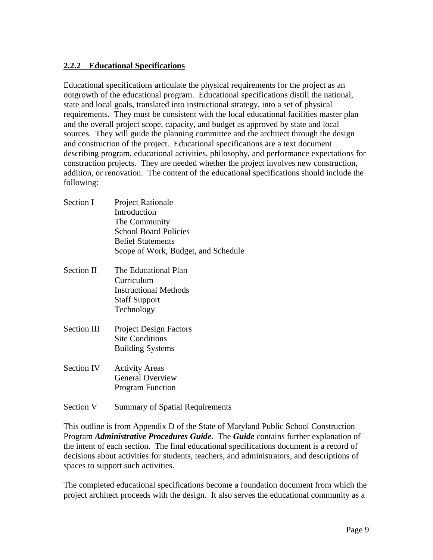## **2.2.2 Educational Specifications**

Educational specifications articulate the physical requirements for the project as an outgrowth of the educational program. Educational specifications distill the national, state and local goals, translated into instructional strategy, into a set of physical requirements. They must be consistent with the local educational facilities master plan and the overall project scope, capacity, and budget as approved by state and local sources. They will guide the planning committee and the architect through the design and construction of the project. Educational specifications are a text document describing program, educational activities, philosophy, and performance expectations for construction projects. They are needed whether the project involves new construction, addition, or renovation. The content of the educational specifications should include the following:

- Section I Project Rationale Introduction The Community School Board Policies Belief Statements Scope of Work, Budget, and Schedul e
- Section II The Educational Plan Curriculum Instructional Methods Staff Support Technology
- Section III Project Design Factors Site Conditions Building Systems
- Section IV Activity Areas General Overview Program Function
- Section V Summary of Spatial Requirements

This outline is from Appendix D of the State of Maryland Public School Construction Program *Administrative Procedures Guide*. The *Guide* contains further explanation of the intent of each section. The final educational specifications document is a record of decisions about activities for students, teachers, and administrators, and descriptions of spaces to support such activities.

The completed educational specifications become a foundation document from which the project architect proceeds with the design. It also serves the educational community as a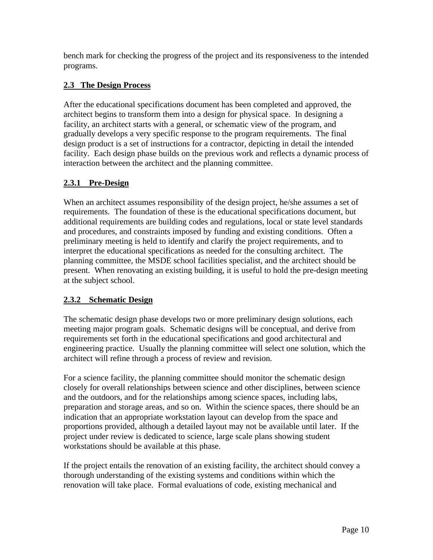bench mark for checking the progress of the project and its responsiveness to the intended programs.

## **2.3 The Design Process**

After the educational specifications document has been completed and approved, the architect begins to transform them into a design for physical space. In designing a facility, an architect starts with a general, or schematic view of the program, and gradually develops a very specific response to the program requirements. The final design product is a set of instructions for a contractor, depicting in detail the intended facility. Each design phase builds on the previous work and reflects a dynamic process of interaction between the architect and the planning committee.

## **2.3.1 Pre-Design**

When an architect assumes responsibility of the design project, he/she assumes a set of requirements. The foundation of these is the educational specifications document, but additional requirements are building codes and regulations, local or state level standards and procedures, and constraints imposed by funding and existing conditions. Often a preliminary meeting is held to identify and clarify the project requirements, and to interpret the educational specifications as needed for the consulting architect. The planning committee, the MSDE school facilities specialist, and the architect should be present. When renovating an existing building, it is useful to hold the pre-design meeting at the subject school.

## **2.3.2 Schematic Design**

The schematic design phase develops two or more preliminary design solutions, each meeting major program goals. Schematic designs will be conceptual, and derive from requirements set forth in the educational specifications and good architectural and engineering practice. Usually the planning committee will select one solution, which the architect will refine through a process of review and revision.

For a science facility, the planning committee should monitor the schematic design closely for overall relationships between science and other disciplines, between science and the outdoors, and for the relationships among science spaces, including labs, preparation and storage areas, and so on. Within the science spaces, there should be an indication that an appropriate workstation layout can develop from the space and proportions provided, although a detailed layout may not be available until later. If the project under review is dedicated to science, large scale plans showing student workstations should be available at this phase.

If the project entails the renovation of an existing facility, the architect should convey a thorough understanding of the existing systems and conditions within which the renovation will take place. Formal evaluations of code, existing mechanical and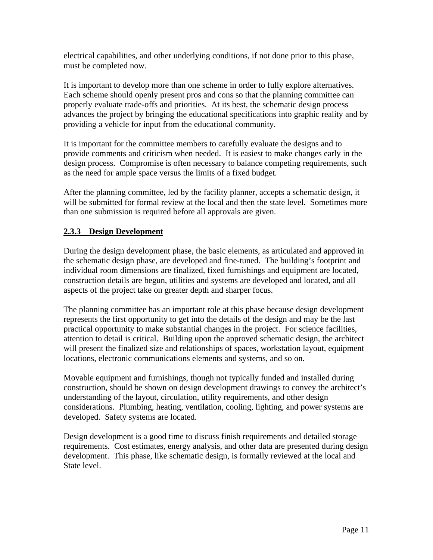electrical capabilities, and other underlying conditions, if not done prior to this phase, must be completed now.

It is important to develop more than one scheme in order to fully explore alternatives. Each scheme should openly present pros and cons so that the planning committee can properly evaluate trade-offs and priorities. At its best, the schematic design process advances the project by bringing the educational specifications into graphic reality and by providing a vehicle for input from the educational community.

It is important for the committee members to carefully evaluate the designs and to provide comments and criticism when needed. It is easiest to make changes early in the design process. Compromise is often necessary to balance competing requirements, such as the need for ample space versus the limits of a fixed budget.

After the planning committee, led by the facility planner, accepts a schematic design, it will be submitted for formal review at the local and then the state level. Sometimes more than one submission is required before all approvals are given.

## **2.3.3 Design Development**

During the design development phase, the basic elements, as articulated and approved in the schematic design phase, are developed and fine-tuned. The building's footprint and individual room dimensions are finalized, fixed furnishings and equipment are located, construction details are begun, utilities and systems are developed and located, and all aspects of the project take on greater depth and sharper focus.

The planning committee has an important role at this phase because design development represents the first opportunity to get into the details of the design and may be the last practical opportunity to make substantial changes in the project. For science facilities, attention to detail is critical. Building upon the approved schematic design, the architect will present the finalized size and relationships of spaces, workstation layout, equipment locations, electronic communications elements and systems, and so on.

Movable equipment and furnishings, though not typically funded and installed during construction, should be shown on design development drawings to convey the architect's understanding of the layout, circulation, utility requirements, and other design considerations. Plumbing, heating, ventilation, cooling, lighting, and power systems are developed. Safety systems are located.

Design development is a good time to discuss finish requirements and detailed storage requirements. Cost estimates, energy analysis, and other data are presented during design development. This phase, like schematic design, is formally reviewed at the local and State level.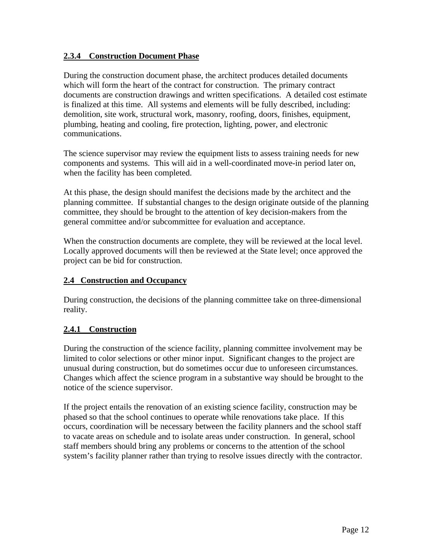## **2.3.4 Construction Document Phase**

During the construction document phase, the architect produces detailed documents which will form the heart of the contract for construction. The primary contract documents are construction drawings and written specifications. A detailed cost estimate is finalized at this time. All systems and elements will be fully described, including: demolition, site work, structural work, masonry, roofing, doors, finishes, equipment, plumbing, heating and cooling, fire protection, lighting, power, and electronic communications.

The science supervisor may review the equipment lists to assess training needs for new components and systems. This will aid in a well-coordinated move-in period later on, when the facility has been completed.

At this phase, the design should manifest the decisions made by the architect and the planning committee. If substantial changes to the design originate outside of the planning committee, they should be brought to the attention of key decision-makers from the general committee and/or subcommittee for evaluation and acceptance.

When the construction documents are complete, they will be reviewed at the local level. Locally approved documents will then be reviewed at the State level; once approved the project can be bid for construction.

### **2.4 Construction and Occupancy**

During construction, the decisions of the planning committee take on three-dimensional reality.

## **2.4.1 Construction**

During the construction of the science facility, planning committee involvement may be limited to color selections or other minor input. Significant changes to the project are unusual during construction, but do sometimes occur due to unforeseen circumstances. Changes which affect the science program in a substantive way should be brought to the notice of the science supervisor.

If the project entails the renovation of an existing science facility, construction may be phased so that the school continues to operate while renovations take place. If this occurs, coordination will be necessary between the facility planners and the school staff to vacate areas on schedule and to isolate areas under construction. In general, school staff members should bring any problems or concerns to the attention of the school system's facility planner rather than trying to resolve issues directly with the contractor.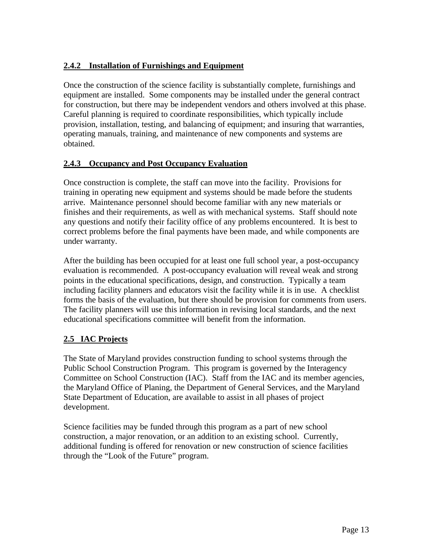## **2.4.2 Installation of Furnishings and Equipment**

Once the construction of the science facility is substantially complete, furnishings and equipment are installed. Some components may be installed under the general contract for construction, but there may be independent vendors and others involved at this phase. Careful planning is required to coordinate responsibilities, which typically include provision, installation, testing, and balancing of equipment; and insuring that warranties, operating manuals, training, and maintenance of new components and systems are obtained.

## **2.4.3 Occupancy and Post Occupancy Evaluation**

Once construction is complete, the staff can move into the facility. Provisions for training in operating new equipment and systems should be made before the students arrive. Maintenance personnel should become familiar with any new materials or finishes and their requirements, as well as with mechanical systems. Staff should note any questions and notify their facility office of any problems encountered. It is best to correct problems before the final payments have been made, and while components are under warranty.

After the building has been occupied for at least one full school year, a post-occupancy evaluation is recommended. A post-occupancy evaluation will reveal weak and strong points in the educational specifications, design, and construction. Typically a team including facility planners and educators visit the facility while it is in use. A checklist forms the basis of the evaluation, but there should be provision for comments from users. The facility planners will use this information in revising local standards, and the next educational specifications committee will benefit from the information.

## **2.5 IAC Projects**

The State of Maryland provides construction funding to school systems through the Public School Construction Program. This program is governed by the Interagency Committee on School Construction (IAC). Staff from the IAC and its member agencies, the Maryland Office of Planing, the Department of General Services, and the Maryland State Department of Education, are available to assist in all phases of project development.

Science facilities may be funded through this program as a part of new school construction, a major renovation, or an addition to an existing school. Currently, additional funding is offered for renovation or new construction of science facilities through the "Look of the Future" program.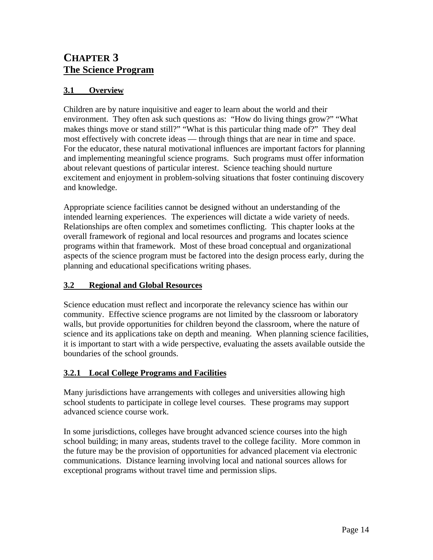## **CHAPTER 3 The Science Program**

## **3.1 Overview**

Children are by nature inquisitive and eager to learn about the world and their environment. They often ask such questions as: "How do living things grow?" "What makes things move or stand still?" "What is this particular thing made of?" They deal most effectively with concrete ideas — through things that are near in time and space. For the educator, these natural motivational influences are important factors for planning and implementing meaningful science programs. Such programs must offer information about relevant questions of particular interest. Science teaching should nurture excitement and enjoyment in problem-solving situations that foster continuing discovery and knowledge.

Appropriate science facilities cannot be designed without an understanding of the intended learning experiences. The experiences will dictate a wide variety of needs. Relationships are often complex and sometimes conflicting. This chapter looks at the overall framework of regional and local resources and programs and locates science programs within that framework. Most of these broad conceptual and organizational aspects of the science program must be factored into the design process early, during the planning and educational specifications writing phases.

## **3.2 Regional and Global Resources**

Science education must reflect and incorporate the relevancy science has within our community. Effective science programs are not limited by the classroom or laboratory walls, but provide opportunities for children beyond the classroom, where the nature of science and its applications take on depth and meaning. When planning science facilities, it is important to start with a wide perspective, evaluating the assets available outside the boundaries of the school grounds.

## **3.2.1 Local College Programs and Facilities**

Many jurisdictions have arrangements with colleges and universities allowing high school students to participate in college level courses. These programs may support advanced science course work.

In some jurisdictions, colleges have brought advanced science courses into the high school building; in many areas, students travel to the college facility. More common in the future may be the provision of opportunities for advanced placement via electronic communications. Distance learning involving local and national sources allows for exceptional programs without travel time and permission slips.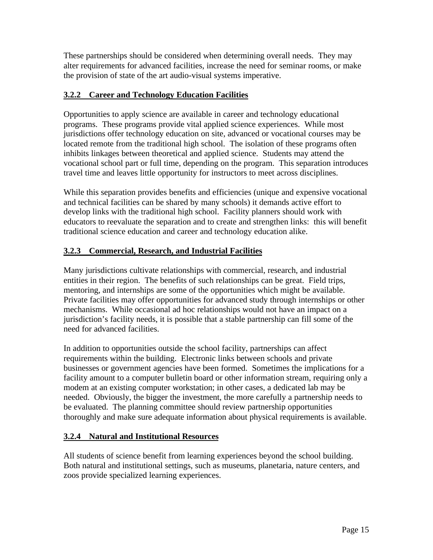These partnerships should be considered when determining overall needs. They may alter requirements for advanced facilities, increase the need for seminar rooms, or make the provision of state of the art audio-visual systems imperative.

## **3.2.2 Career and Technology Education Facilities**

Opportunities to apply science are available in career and technology educational programs. These programs provide vital applied science experiences. While most jurisdictions offer technology education on site, advanced or vocational courses may be located remote from the traditional high school. The isolation of these programs often inhibits linkages between theoretical and applied science. Students may attend the vocational school part or full time, depending on the program. This separation introduces travel time and leaves little opportunity for instructors to meet across disciplines.

While this separation provides benefits and efficiencies (unique and expensive vocational and technical facilities can be shared by many schools) it demands active effort to develop links with the traditional high school. Facility planners should work with educators to reevaluate the separation and to create and strengthen links: this will benefit traditional science education and career and technology education alike.

## **3.2.3 Commercial, Research, and Industrial Facilities**

Many jurisdictions cultivate relationships with commercial, research, and industrial entities in their region. The benefits of such relationships can be great. Field trips, mentoring, and internships are some of the opportunities which might be available. Private facilities may offer opportunities for advanced study through internships or other mechanisms. While occasional ad hoc relationships would not have an impact on a jurisdiction's facility needs, it is possible that a stable partnership can fill some of the need for advanced facilities.

In addition to opportunities outside the school facility, partnerships can affect requirements within the building. Electronic links between schools and private businesses or government agencies have been formed. Sometimes the implications for a facility amount to a computer bulletin board or other information stream, requiring only a modem at an existing computer workstation; in other cases, a dedicated lab may be needed. Obviously, the bigger the investment, the more carefully a partnership needs to be evaluated. The planning committee should review partnership opportunities thoroughly and make sure adequate information about physical requirements is available.

## **3.2.4 Natural and Institutional Resources**

All students of science benefit from learning experiences beyond the school building. Both natural and institutional settings, such as museums, planetaria, nature centers, and zoos provide specialized learning experiences.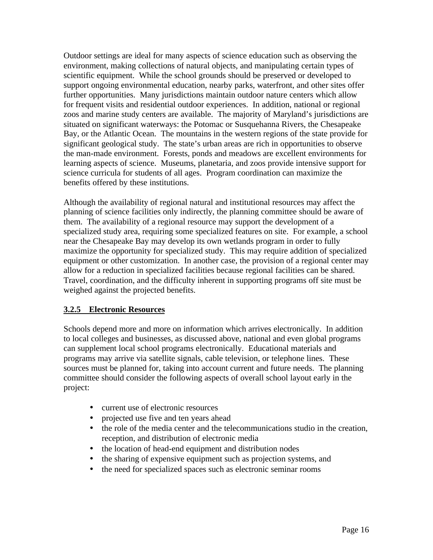Outdoor settings are ideal for many aspects of science education such as observing the environment, making collections of natural objects, and manipulating certain types of scientific equipment. While the school grounds should be preserved or developed to support ongoing environmental education, nearby parks, waterfront, and other sites offer further opportunities. Many jurisdictions maintain outdoor nature centers which allow for frequent visits and residential outdoor experiences. In addition, national or regional zoos and marine study centers are available. The majority of Maryland's jurisdictions are situated on significant waterways: the Potomac or Susquehanna Rivers, the Chesapeake Bay, or the Atlantic Ocean. The mountains in the western regions of the state provide for significant geological study. The state's urban areas are rich in opportunities to observe the man-made environment. Forests, ponds and meadows are excellent environments for learning aspects of science. Museums, planetaria, and zoos provide intensive support for science curricula for students of all ages. Program coordination can maximize the benefits offered by these institutions.

Although the availability of regional natural and institutional resources may affect the planning of science facilities only indirectly, the planning committee should be aware of them. The availability of a regional resource may support the development of a specialized study area, requiring some specialized features on site. For example, a school near the Chesapeake Bay may develop its own wetlands program in order to fully maximize the opportunity for specialized study. This may require addition of specialized equipment or other customization. In another case, the provision of a regional center may allow for a reduction in specialized facilities because regional facilities can be shared. Travel, coordination, and the difficulty inherent in supporting programs off site must be weighed against the projected benefits.

## **3.2.5 Electronic Resources**

Schools depend more and more on information which arrives electronically. In addition to local colleges and businesses, as discussed above, national and even global programs can supplement local school programs electronically. Educational materials and programs may arrive via satellite signals, cable television, or telephone lines. These sources must be planned for, taking into account current and future needs. The planning committee should consider the following aspects of overall school layout early in the project:

- current use of electronic resources
- projected use five and ten years ahead
- the role of the media center and the telecommunications studio in the creation, reception, and distribution of electronic media
- the location of head-end equipment and distribution nodes
- the sharing of expensive equipment such as projection systems, and
- the need for specialized spaces such as electronic seminar rooms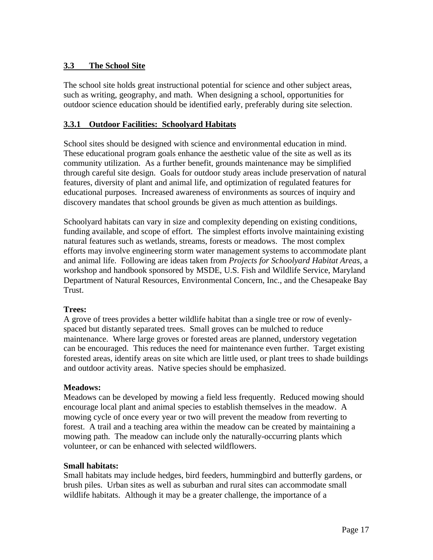## **3.3 The School Site**

The school site holds great instructional potential for science and other subject areas, such as writing, geography, and math. When designing a school, opportunities for outdoor science education should be identified early, preferably during site selection.

### **3.3.1 Outdoor Facilities: Schoolyard Habitats**

School sites should be designed with science and environmental education in mind. These educational program goals enhance the aesthetic value of the site as well as its community utilization. As a further benefit, grounds maintenance may be simplified through careful site design. Goals for outdoor study areas include preservation of natural features, diversity of plant and animal life, and optimization of regulated features for educational purposes. Increased awareness of environments as sources of inquiry and discovery mandates that school grounds be given as much attention as buildings.

Schoolyard habitats can vary in size and complexity depending on existing conditions, funding available, and scope of effort. The simplest efforts involve maintaining existing natural features such as wetlands, streams, forests or meadows. The most complex efforts may involve engineering storm water management systems to accommodate plant and animal life. Following are ideas taken from *Projects for Schoolyard Habitat Areas*, a workshop and handbook sponsored by MSDE, U.S. Fish and Wildlife Service, Maryland Department of Natural Resources, Environmental Concern, Inc., and the Chesapeake Bay Trust.

#### **Trees:**

A grove of trees provides a better wildlife habitat than a single tree or row of evenlyspaced but distantly separated trees. Small groves can be mulched to reduce maintenance. Where large groves or forested areas are planned, understory vegetation can be encouraged. This reduces the need for maintenance even further. Target existing forested areas, identify areas on site which are little used, or plant trees to shade buildings and outdoor activity areas. Native species should be emphasized.

#### **Meadows:**

Meadows can be developed by mowing a field less frequently. Reduced mowing should encourage local plant and animal species to establish themselves in the meadow. A mowing cycle of once every year or two will prevent the meadow from reverting to forest. A trail and a teaching area within the meadow can be created by maintaining a mowing path. The meadow can include only the naturally-occurring plants which volunteer, or can be enhanced with selected wildflowers.

#### **Small habitats:**

Small habitats may include hedges, bird feeders, hummingbird and butterfly gardens, or brush piles. Urban sites as well as suburban and rural sites can accommodate small wildlife habitats. Although it may be a greater challenge, the importance of a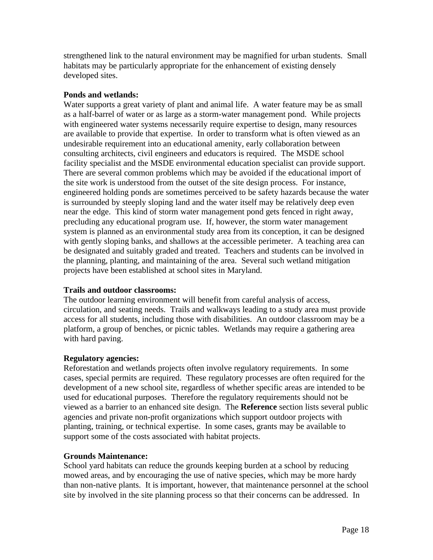strengthened link to the natural environment may be magnified for urban students. Small habitats may be particularly appropriate for the enhancement of existing densely developed sites.

### **Ponds and wetlands:**

Water supports a great variety of plant and animal life. A water feature may be as small as a half-barrel of water or as large as a storm-water management pond. While projects with engineered water systems necessarily require expertise to design, many resources are available to provide that expertise. In order to transform what is often viewed as an undesirable requirement into an educational amenity, early collaboration between consulting architects, civil engineers and educators is required. The MSDE school facility specialist and the MSDE environmental education specialist can provide support. There are several common problems which may be avoided if the educational import of the site work is understood from the outset of the site design process. For instance, engineered holding ponds are sometimes perceived to be safety hazards because the water is surrounded by steeply sloping land and the water itself may be relatively deep even near the edge. This kind of storm water management pond gets fenced in right away, precluding any educational program use. If, however, the storm water management system is planned as an environmental study area from its conception, it can be designed with gently sloping banks, and shallows at the accessible perimeter. A teaching area can be designated and suitably graded and treated. Teachers and students can be involved in the planning, planting, and maintaining of the area. Several such wetland mitigation projects have been established at school sites in Maryland.

## **Trails and outdoor classrooms:**

The outdoor learning environment will benefit from careful analysis of access, circulation, and seating needs. Trails and walkways leading to a study area must provide access for all students, including those with disabilities. An outdoor classroom may be a platform, a group of benches, or picnic tables. Wetlands may require a gathering area with hard paving.

## **Regulatory agencies:**

Reforestation and wetlands projects often involve regulatory requirements. In some cases, special permits are required. These regulatory processes are often required for the development of a new school site, regardless of whether specific areas are intended to be used for educational purposes. Therefore the regulatory requirements should not be viewed as a barrier to an enhanced site design. The **Reference** section lists several public agencies and private non-profit organizations which support outdoor projects with planting, training, or technical expertise. In some cases, grants may be available to support some of the costs associated with habitat projects.

## **Grounds Maintenance:**

School yard habitats can reduce the grounds keeping burden at a school by reducing mowed areas, and by encouraging the use of native species, which may be more hardy than non-native plants. It is important, however, that maintenance personnel at the school site by involved in the site planning process so that their concerns can be addressed. In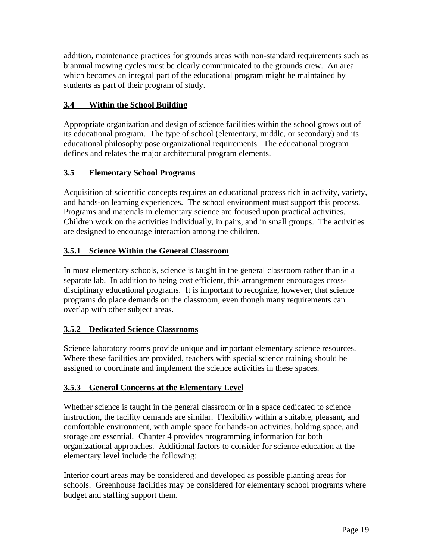addition, maintenance practices for grounds areas with non-standard requirements such as biannual mowing cycles must be clearly communicated to the grounds crew. An area which becomes an integral part of the educational program might be maintained by students as part of their program of study.

## **3.4 Within the School Building**

Appropriate organization and design of science facilities within the school grows out of its educational program. The type of school (elementary, middle, or secondary) and its educational philosophy pose organizational requirements. The educational program defines and relates the major architectural program elements.

## **3.5 Elementary School Programs**

Acquisition of scientific concepts requires an educational process rich in activity, variety, and hands-on learning experiences. The school environment must support this process. Programs and materials in elementary science are focused upon practical activities. Children work on the activities individually, in pairs, and in small groups. The activities are designed to encourage interaction among the children.

## **3.5.1 Science Within the General Classroom**

In most elementary schools, science is taught in the general classroom rather than in a separate lab. In addition to being cost efficient, this arrangement encourages crossdisciplinary educational programs. It is important to recognize, however, that science programs do place demands on the classroom, even though many requirements can overlap with other subject areas.

## **3.5.2 Dedicated Science Classrooms**

Science laboratory rooms provide unique and important elementary science resources. Where these facilities are provided, teachers with special science training should be assigned to coordinate and implement the science activities in these spaces.

## **3.5.3 General Concerns at the Elementary Level**

Whether science is taught in the general classroom or in a space dedicated to science instruction, the facility demands are similar. Flexibility within a suitable, pleasant, and comfortable environment, with ample space for hands-on activities, holding space, and storage are essential. Chapter 4 provides programming information for both organizational approaches. Additional factors to consider for science education at the elementary level include the following:

Interior court areas may be considered and developed as possible planting areas for schools. Greenhouse facilities may be considered for elementary school programs where budget and staffing support them.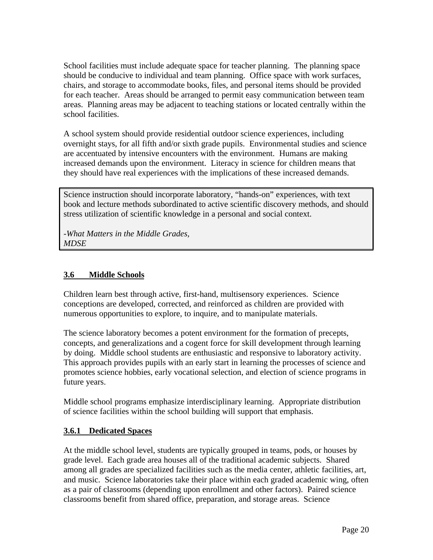School facilities must include adequate space for teacher planning. The planning space should be conducive to individual and team planning. Office space with work surfaces, chairs, and storage to accommodate books, files, and personal items should be provided for each teacher. Areas should be arranged to permit easy communication between team areas. Planning areas may be adjacent to teaching stations or located centrally within the school facilities.

A school system should provide residential outdoor science experiences, including overnight stays, for all fifth and/or sixth grade pupils. Environmental studies and science are accentuated by intensive encounters with the environment. Humans are making increased demands upon the environment. Literacy in science for children means that they should have real experiences with the implications of these increased demands.

Science instruction should incorporate laboratory, "hands-on" experiences, with text book and lecture methods subordinated to active scientific discovery methods, and should stress utilization of scientific knowledge in a personal and social context.

-*What Matters in the Middle Grades, MDSE* 

## **3.6 Middle Schools**

Children learn best through active, first-hand, multisensory experiences. Science conceptions are developed, corrected, and reinforced as children are provided with numerous opportunities to explore, to inquire, and to manipulate materials.

The science laboratory becomes a potent environment for the formation of precepts, concepts, and generalizations and a cogent force for skill development through learning by doing. Middle school students are enthusiastic and responsive to laboratory activity. This approach provides pupils with an early start in learning the processes of science and promotes science hobbies, early vocational selection, and election of science programs in future years.

Middle school programs emphasize interdisciplinary learning. Appropriate distribution of science facilities within the school building will support that emphasis.

#### **3.6.1 Dedicated Spaces**

At the middle school level, students are typically grouped in teams, pods, or houses by grade level. Each grade area houses all of the traditional academic subjects. Shared among all grades are specialized facilities such as the media center, athletic facilities, art, and music. Science laboratories take their place within each graded academic wing, often as a pair of classrooms (depending upon enrollment and other factors). Paired science classrooms benefit from shared office, preparation, and storage areas. Science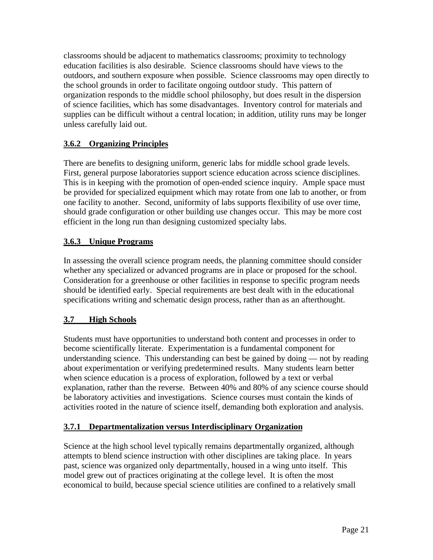classrooms should be adjacent to mathematics classrooms; proximity to technology education facilities is also desirable. Science classrooms should have views to the outdoors, and southern exposure when possible. Science classrooms may open directly to the school grounds in order to facilitate ongoing outdoor study. This pattern of organization responds to the middle school philosophy, but does result in the dispersion of science facilities, which has some disadvantages. Inventory control for materials and supplies can be difficult without a central location; in addition, utility runs may be longer unless carefully laid out.

## **3.6.2 Organizing Principles**

There are benefits to designing uniform, generic labs for middle school grade levels. First, general purpose laboratories support science education across science disciplines. This is in keeping with the promotion of open-ended science inquiry. Ample space must be provided for specialized equipment which may rotate from one lab to another, or from one facility to another. Second, uniformity of labs supports flexibility of use over time, should grade configuration or other building use changes occur. This may be more cost efficient in the long run than designing customized specialty labs.

## **3.6.3 Unique Programs**

In assessing the overall science program needs, the planning committee should consider whether any specialized or advanced programs are in place or proposed for the school. Consideration for a greenhouse or other facilities in response to specific program needs should be identified early. Special requirements are best dealt with in the educational specifications writing and schematic design process, rather than as an afterthought.

## **3.7 High Schools**

Students must have opportunities to understand both content and processes in order to become scientifically literate. Experimentation is a fundamental component for understanding science. This understanding can best be gained by doing — not by reading about experimentation or verifying predetermined results. Many students learn better when science education is a process of exploration, followed by a text or verbal explanation, rather than the reverse. Between 40% and 80% of any science course should be laboratory activities and investigations. Science courses must contain the kinds of activities rooted in the nature of science itself, demanding both exploration and analysis.

## **3.7.1 Departmentalization versus Interdisciplinary Organization**

Science at the high school level typically remains departmentally organized, although attempts to blend science instruction with other disciplines are taking place. In years past, science was organized only departmentally, housed in a wing unto itself. This model grew out of practices originating at the college level. It is often the most economical to build, because special science utilities are confined to a relatively small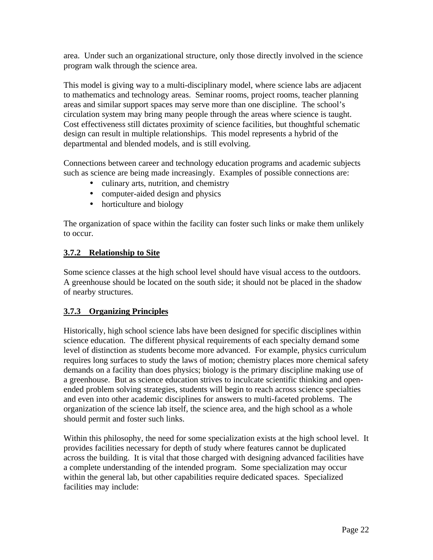area. Under such an organizational structure, only those directly involved in the science program walk through the science area.

This model is giving way to a multi-disciplinary model, where science labs are adjacent to mathematics and technology areas. Seminar rooms, project rooms, teacher planning areas and similar support spaces may serve more than one discipline. The school's circulation system may bring many people through the areas where science is taught. Cost effectiveness still dictates proximity of science facilities, but thoughtful schematic design can result in multiple relationships. This model represents a hybrid of the departmental and blended models, and is still evolving.

Connections between career and technology education programs and academic subjects such as science are being made increasingly. Examples of possible connections are:

- culinary arts, nutrition, and chemistry
- computer-aided design and physics
- horticulture and biology

The organization of space within the facility can foster such links or make them unlikely to occur.

## **3.7.2 Relationship to Site**

Some science classes at the high school level should have visual access to the outdoors. A greenhouse should be located on the south side; it should not be placed in the shadow of nearby structures.

## **3.7.3 Organizing Principles**

Historically, high school science labs have been designed for specific disciplines within science education. The different physical requirements of each specialty demand some level of distinction as students become more advanced. For example, physics curriculum requires long surfaces to study the laws of motion; chemistry places more chemical safety demands on a facility than does physics; biology is the primary discipline making use of a greenhouse. But as science education strives to inculcate scientific thinking and openended problem solving strategies, students will begin to reach across science specialties and even into other academic disciplines for answers to multi-faceted problems. The organization of the science lab itself, the science area, and the high school as a whole should permit and foster such links.

Within this philosophy, the need for some specialization exists at the high school level. It provides facilities necessary for depth of study where features cannot be duplicated across the building. It is vital that those charged with designing advanced facilities have a complete understanding of the intended program. Some specialization may occur within the general lab, but other capabilities require dedicated spaces. Specialized facilities may include: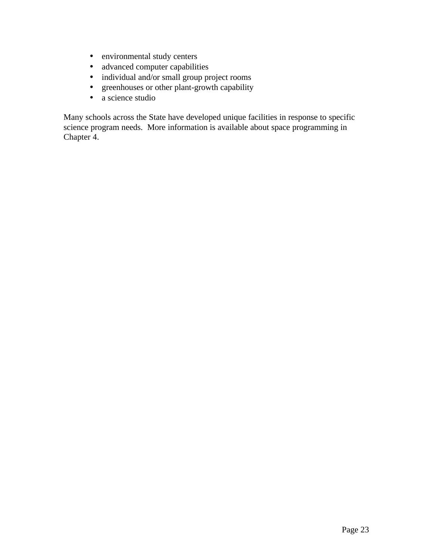- environmental study centers
- advanced computer capabilities
- individual and/or small group project rooms
- greenhouses or other plant-growth capability
- a science studio

Many schools across the State have developed unique facilities in response to specific science program needs. More information is available about space programming in Chapter 4.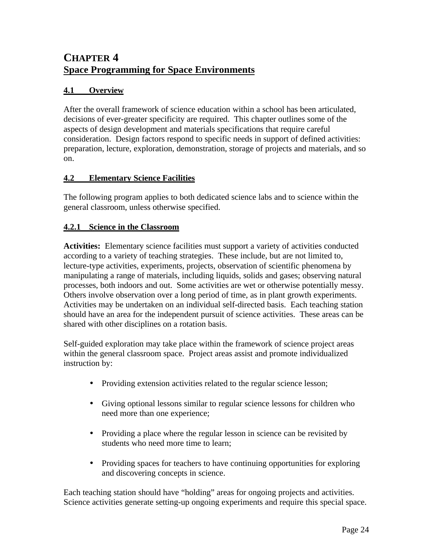## **CHAPTER 4 Space Programming for Space Environments**

## **4.1 Overview**

After the overall framework of science education within a school has been articulated, decisions of ever-greater specificity are required. This chapter outlines some of the aspects of design development and materials specifications that require careful consideration. Design factors respond to specific needs in support of defined activities: preparation, lecture, exploration, demonstration, storage of projects and materials, and so on.

## **4.2 Elementary Science Facilities**

The following program applies to both dedicated science labs and to science within the general classroom, unless otherwise specified.

## **4.2.1 Science in the Classroom**

**Activities:** Elementary science facilities must support a variety of activities conducted according to a variety of teaching strategies. These include, but are not limited to, lecture-type activities, experiments, projects, observation of scientific phenomena by manipulating a range of materials, including liquids, solids and gases; observing natural processes, both indoors and out. Some activities are wet or otherwise potentially messy. Others involve observation over a long period of time, as in plant growth experiments. Activities may be undertaken on an individual self-directed basis. Each teaching station should have an area for the independent pursuit of science activities. These areas can be shared with other disciplines on a rotation basis.

Self-guided exploration may take place within the framework of science project areas within the general classroom space. Project areas assist and promote individualized instruction by:

- Providing extension activities related to the regular science lesson;
- Giving optional lessons similar to regular science lessons for children who need more than one experience;
- Providing a place where the regular lesson in science can be revisited by students who need more time to learn;
- Providing spaces for teachers to have continuing opportunities for exploring and discovering concepts in science.

Each teaching station should have "holding" areas for ongoing projects and activities. Science activities generate setting-up ongoing experiments and require this special space.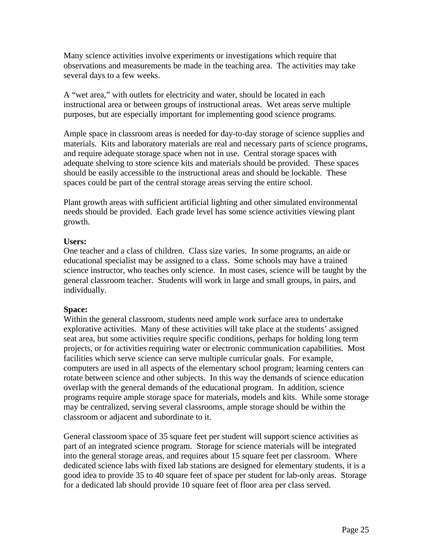Many science activities involve experiments or investigations which require that observations and measurements be made in the teaching area. The activities may take several days to a few weeks.

A "wet area," with outlets for electricity and water, should be located in each instructional area or between groups of instructional areas. Wet areas serve multiple purposes, but are especially important for implementing good science programs.

Ample space in classroom areas is needed for day-to-day storage of science supplies and materials. Kits and laboratory materials are real and necessary parts of science programs, and require adequate storage space when not in use. Central storage spaces with adequate shelving to store science kits and materials should be provided. These spaces should be easily accessible to the instructional areas and should be lockable. These spaces could be part of the central storage areas serving the entire school.

Plant growth areas with sufficient artificial lighting and other simulated environmental needs should be provided. Each grade level has some science activities viewing plant growth.

#### **Users:**

One teacher and a class of children. Class size varies. In some programs, an aide or educational specialist may be assigned to a class. Some schools may have a trained science instructor, who teaches only science. In most cases, science will be taught by the general classroom teacher. Students will work in large and small groups, in pairs, and individually.

## **Space:**

Within the general classroom, students need ample work surface area to undertake explorative activities. Many of these activities will take place at the students' assigned seat area, but some activities require specific conditions, perhaps for holding long term projects, or for activities requiring water or electronic communication capabilities. Most facilities which serve science can serve multiple curricular goals. For example, computers are used in all aspects of the elementary school program; learning centers can rotate between science and other subjects. In this way the demands of science education overlap with the general demands of the educational program. In addition, science programs require ample storage space for materials, models and kits. While some storage may be centralized, serving several classrooms, ample storage should be within the classroom or adjacent and subordinate to it.

General classroom space of 35 square feet per student will support science activities as part of an integrated science program. Storage for science materials will be integrated into the general storage areas, and requires about 15 square feet per classroom. Where dedicated science labs with fixed lab stations are designed for elementary students, it is a good idea to provide 35 to 40 square feet of space per student for lab-only areas. Storage for a dedicated lab should provide 10 square feet of floor area per class served.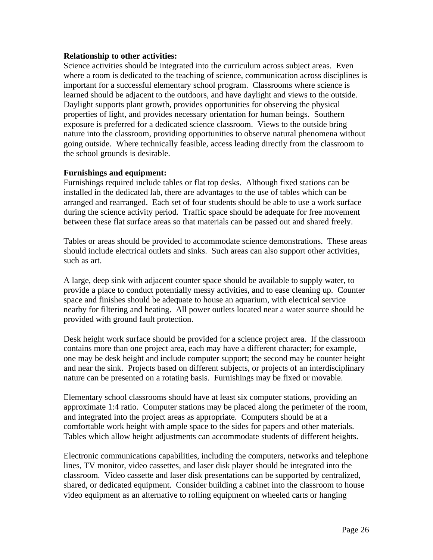#### **Relationship to other activities:**

Science activities should be integrated into the curriculum across subject areas. Even where a room is dedicated to the teaching of science, communication across disciplines is important for a successful elementary school program. Classrooms where science is learned should be adjacent to the outdoors, and have daylight and views to the outside. Daylight supports plant growth, provides opportunities for observing the physical properties of light, and provides necessary orientation for human beings. Southern exposure is preferred for a dedicated science classroom. Views to the outside bring nature into the classroom, providing opportunities to observe natural phenomena without going outside. Where technically feasible, access leading directly from the classroom to the school grounds is desirable.

#### **Furnishings and equipment:**

Furnishings required include tables or flat top desks. Although fixed stations can be installed in the dedicated lab, there are advantages to the use of tables which can be arranged and rearranged. Each set of four students should be able to use a work surface during the science activity period. Traffic space should be adequate for free movement between these flat surface areas so that materials can be passed out and shared freely.

Tables or areas should be provided to accommodate science demonstrations. These areas should include electrical outlets and sinks. Such areas can also support other activities, such as art.

A large, deep sink with adjacent counter space should be available to supply water, to provide a place to conduct potentially messy activities, and to ease cleaning up. Counter space and finishes should be adequate to house an aquarium, with electrical service nearby for filtering and heating. All power outlets located near a water source should be provided with ground fault protection.

Desk height work surface should be provided for a science project area. If the classroom contains more than one project area, each may have a different character; for example, one may be desk height and include computer support; the second may be counter height and near the sink. Projects based on different subjects, or projects of an interdisciplinary nature can be presented on a rotating basis. Furnishings may be fixed or movable.

Elementary school classrooms should have at least six computer stations, providing an approximate 1:4 ratio. Computer stations may be placed along the perimeter of the room, and integrated into the project areas as appropriate. Computers should be at a comfortable work height with ample space to the sides for papers and other materials. Tables which allow height adjustments can accommodate students of different heights.

Electronic communications capabilities, including the computers, networks and telephone lines, TV monitor, video cassettes, and laser disk player should be integrated into the classroom. Video cassette and laser disk presentations can be supported by centralized, shared, or dedicated equipment. Consider building a cabinet into the classroom to house video equipment as an alternative to rolling equipment on wheeled carts or hanging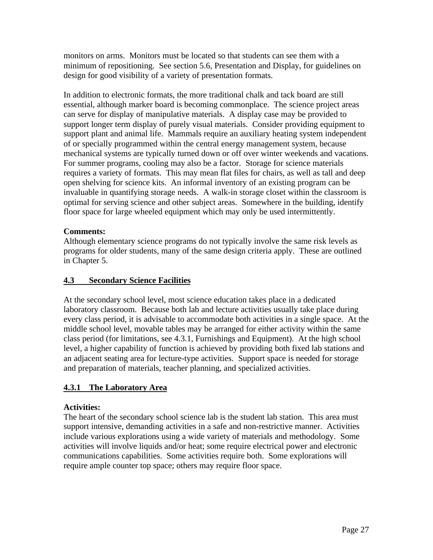monitors on arms. Monitors must be located so that students can see them with a minimum of repositioning. See section 5.6, Presentation and Display, for guidelines on design for good visibility of a variety of presentation formats.

In addition to electronic formats, the more traditional chalk and tack board are still essential, although marker board is becoming commonplace. The science project areas can serve for display of manipulative materials. A display case may be provided to support longer term display of purely visual materials. Consider providing equipment to support plant and animal life. Mammals require an auxiliary heating system independent of or specially programmed within the central energy management system, because mechanical systems are typically turned down or off over winter weekends and vacations. For summer programs, cooling may also be a factor. Storage for science materials requires a variety of formats. This may mean flat files for chairs, as well as tall and deep open shelving for science kits. An informal inventory of an existing program can be invaluable in quantifying storage needs. A walk-in storage closet within the classroom is optimal for serving science and other subject areas. Somewhere in the building, identify floor space for large wheeled equipment which may only be used intermittently.

## **Comments:**

Although elementary science programs do not typically involve the same risk levels as programs for older students, many of the same design criteria apply. These are outlined in Chapter 5.

## **4.3 Secondary Science Facilities**

At the secondary school level, most science education takes place in a dedicated laboratory classroom. Because both lab and lecture activities usually take place during every class period, it is advisable to accommodate both activities in a single space. At the middle school level, movable tables may be arranged for either activity within the same class period (for limitations, see 4.3.1, Furnishings and Equipment). At the high school level, a higher capability of function is achieved by providing both fixed lab stations and an adjacent seating area for lecture-type activities. Support space is needed for storage and preparation of materials, teacher planning, and specialized activities.

## **4.3.1 The Laboratory Area**

## **Activities:**

The heart of the secondary school science lab is the student lab station. This area must support intensive, demanding activities in a safe and non-restrictive manner. Activities include various explorations using a wide variety of materials and methodology. Some activities will involve liquids and/or heat; some require electrical power and electronic communications capabilities. Some activities require both. Some explorations will require ample counter top space; others may require floor space.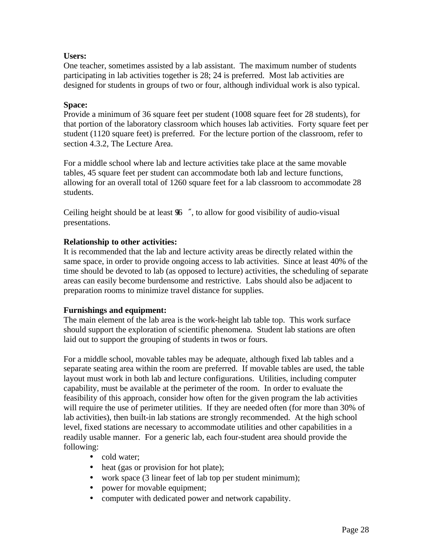### **Users:**

One teacher, sometimes assisted by a lab assistant. The maximum number of students participating in lab activities together is 28; 24 is preferred. Most lab activities are designed for students in groups of two or four, although individual work is also typical.

#### **Space:**

Provide a minimum of 36 square feet per student (1008 square feet for 28 students), for that portion of the laboratory classroom which houses lab activities. Forty square feet per student (1120 square feet) is preferred. For the lecture portion of the classroom, refer to section 4.3.2, The Lecture Area.

For a middle school where lab and lecture activities take place at the same movable tables, 45 square feet per student can accommodate both lab and lecture functions, allowing for an overall total of 1260 square feet for a lab classroom to accommodate 28 students.

Ceiling height should be at least  $96$ ", to allow for good visibility of audio-visual presentations.

#### **Relationship to other activities:**

It is recommended that the lab and lecture activity areas be directly related within the same space, in order to provide ongoing access to lab activities. Since at least 40% of the time should be devoted to lab (as opposed to lecture) activities, the scheduling of separate areas can easily become burdensome and restrictive. Labs should also be adjacent to preparation rooms to minimize travel distance for supplies.

#### **Furnishings and equipment:**

The main element of the lab area is the work-height lab table top. This work surface should support the exploration of scientific phenomena. Student lab stations are often laid out to support the grouping of students in twos or fours.

For a middle school, movable tables may be adequate, although fixed lab tables and a separate seating area within the room are preferred. If movable tables are used, the table layout must work in both lab and lecture configurations. Utilities, including computer capability, must be available at the perimeter of the room. In order to evaluate the feasibility of this approach, consider how often for the given program the lab activities will require the use of perimeter utilities. If they are needed often (for more than 30% of lab activities), then built-in lab stations are strongly recommended. At the high school level, fixed stations are necessary to accommodate utilities and other capabilities in a readily usable manner. For a generic lab, each four-student area should provide the following:

- cold water;
- heat (gas or provision for hot plate);
- work space (3 linear feet of lab top per student minimum);
- power for movable equipment;
- computer with dedicated power and network capability.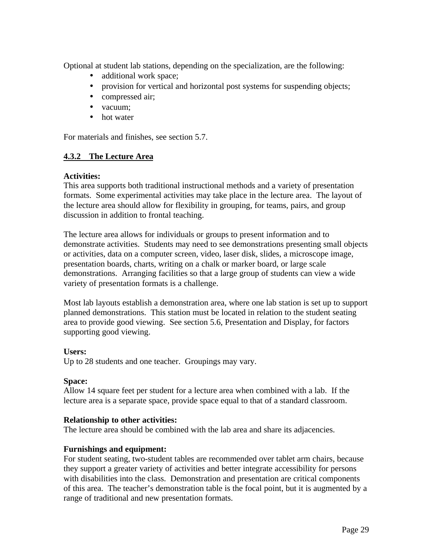Optional at student lab stations, depending on the specialization, are the following:

- additional work space;
- provision for vertical and horizontal post systems for suspending objects;
- compressed air;
- vacuum:
- hot water

For materials and finishes, see section 5.7.

#### **4.3.2 The Lecture Area**

#### **Activities:**

This area supports both traditional instructional methods and a variety of presentation formats. Some experimental activities may take place in the lecture area. The layout of the lecture area should allow for flexibility in grouping, for teams, pairs, and group discussion in addition to frontal teaching.

The lecture area allows for individuals or groups to present information and to demonstrate activities. Students may need to see demonstrations presenting small objects or activities, data on a computer screen, video, laser disk, slides, a microscope image, presentation boards, charts, writing on a chalk or marker board, or large scale demonstrations. Arranging facilities so that a large group of students can view a wide variety of presentation formats is a challenge.

Most lab layouts establish a demonstration area, where one lab station is set up to support planned demonstrations. This station must be located in relation to the student seating area to provide good viewing. See section 5.6, Presentation and Display, for factors supporting good viewing.

#### **Users:**

Up to 28 students and one teacher. Groupings may vary.

#### **Space:**

Allow 14 square feet per student for a lecture area when combined with a lab. If the lecture area is a separate space, provide space equal to that of a standard classroom.

#### **Relationship to other activities:**

The lecture area should be combined with the lab area and share its adjacencies.

#### **Furnishings and equipment:**

For student seating, two-student tables are recommended over tablet arm chairs, because they support a greater variety of activities and better integrate accessibility for persons with disabilities into the class. Demonstration and presentation are critical components of this area. The teacher's demonstration table is the focal point, but it is augmented by a range of traditional and new presentation formats.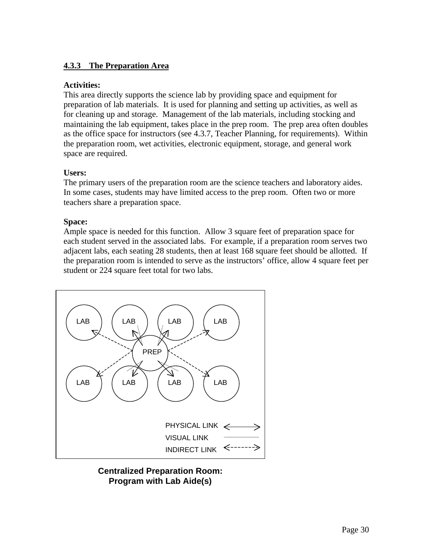## **4.3.3 The Preparation Area**

#### **Activities:**

This area directly supports the science lab by providing space and equipment for preparation of lab materials. It is used for planning and setting up activities, as well as for cleaning up and storage. Management of the lab materials, including stocking and maintaining the lab equipment, takes place in the prep room. The prep area often doubles as the office space for instructors (see 4.3.7, Teacher Planning, for requirements). Within the preparation room, wet activities, electronic equipment, storage, and general work space are required.

## **Users:**

The primary users of the preparation room are the science teachers and laboratory aides. In some cases, students may have limited access to the prep room. Often two or more teachers share a preparation space.

#### **Space:**

Ample space is needed for this function. Allow 3 square feet of preparation space for each student served in the associated labs. For example, if a preparation room serves two adjacent labs, each seating 28 students, then at least 168 square feet should be allotted. If the preparation room is intended to serve as the instructors' office, allow 4 square feet per student or 224 square feet total for two labs.



**Centralized Preparation Room: Program with Lab Aide(s)**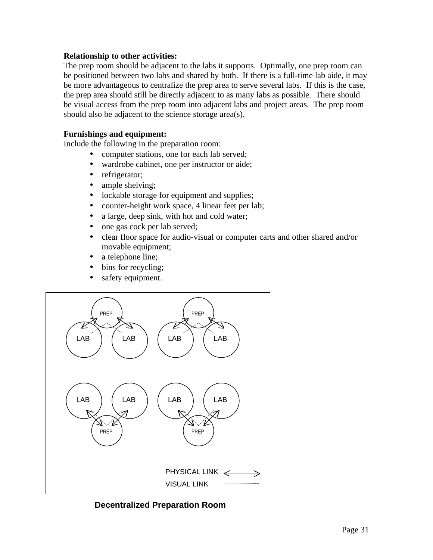#### **Relationship to other activities:**

The prep room should be adjacent to the labs it supports. Optimally, one prep room can be positioned between two labs and shared by both. If there is a full-time lab aide, it may be more advantageous to centralize the prep area to serve several labs. If this is the case, the prep area should still be directly adjacent to as many labs as possible. There should be visual access from the prep room into adjacent labs and project areas. The prep room should also be adjacent to the science storage area(s).

#### **Furnishings and equipment:**

Include the following in the preparation room:

- computer stations, one for each lab served;
- wardrobe cabinet, one per instructor or aide;
- refrigerator;
- ample shelving;
- lockable storage for equipment and supplies;
- counter-height work space, 4 linear feet per lab;
- a large, deep sink, with hot and cold water;
- one gas cock per lab served;
- clear floor space for audio-visual or computer carts and other shared and/or movable equipment;
- a telephone line;
- bins for recycling;
- safety equipment.



**Decentralized Preparation Room**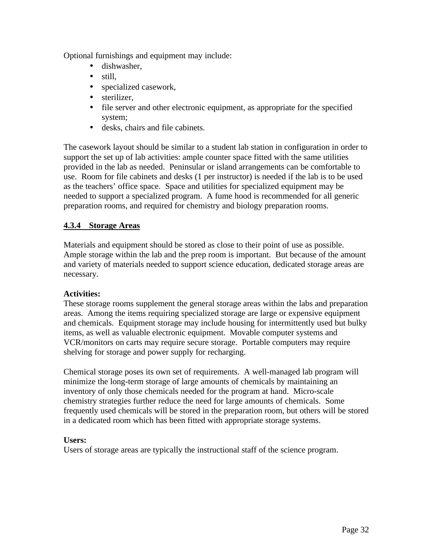Optional furnishings and equipment may include:

- dishwasher,
- still.
- specialized casework,
- sterilizer,
- file server and other electronic equipment, as appropriate for the specified system;
- desks, chairs and file cabinets.

The casework layout should be similar to a student lab station in configuration in order to support the set up of lab activities: ample counter space fitted with the same utilities provided in the lab as needed. Peninsular or island arrangements can be comfortable to use. Room for file cabinets and desks (1 per instructor) is needed if the lab is to be used as the teachers' office space. Space and utilities for specialized equipment may be needed to support a specialized program. A fume hood is recommended for all generic preparation rooms, and required for chemistry and biology preparation rooms.

## **4.3.4 Storage Areas**

Materials and equipment should be stored as close to their point of use as possible. Ample storage within the lab and the prep room is important. But because of the amount and variety of materials needed to support science education, dedicated storage areas are necessary.

## **Activities:**

These storage rooms supplement the general storage areas within the labs and preparation areas. Among the items requiring specialized storage are large or expensive equipment and chemicals. Equipment storage may include housing for intermittently used but bulky items, as well as valuable electronic equipment. Movable computer systems and VCR/monitors on carts may require secure storage. Portable computers may require shelving for storage and power supply for recharging.

Chemical storage poses its own set of requirements. A well-managed lab program will minimize the long-term storage of large amounts of chemicals by maintaining an inventory of only those chemicals needed for the program at hand. Micro-scale chemistry strategies further reduce the need for large amounts of chemicals. Some frequently used chemicals will be stored in the preparation room, but others will be stored in a dedicated room which has been fitted with appropriate storage systems.

## **Users:**

Users of storage areas are typically the instructional staff of the science program.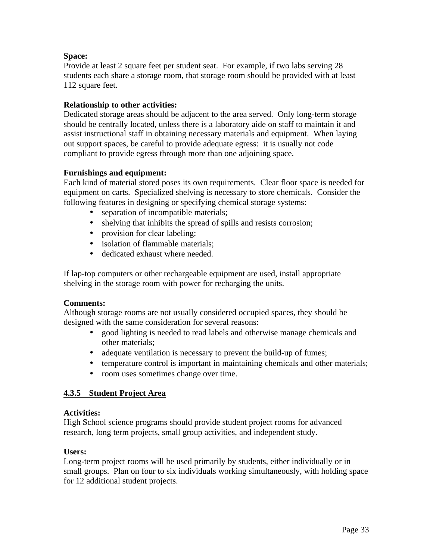## **Space:**

Provide at least 2 square feet per student seat. For example, if two labs serving 28 students each share a storage room, that storage room should be provided with at least 112 square feet.

## **Relationship to other activities:**

Dedicated storage areas should be adjacent to the area served. Only long-term storage should be centrally located, unless there is a laboratory aide on staff to maintain it and assist instructional staff in obtaining necessary materials and equipment. When laying out support spaces, be careful to provide adequate egress: it is usually not code compliant to provide egress through more than one adjoining space.

## **Furnishings and equipment:**

Each kind of material stored poses its own requirements. Clear floor space is needed for equipment on carts. Specialized shelving is necessary to store chemicals. Consider the following features in designing or specifying chemical storage systems:

- separation of incompatible materials;
- shelving that inhibits the spread of spills and resists corrosion;
- provision for clear labeling;
- isolation of flammable materials;
- dedicated exhaust where needed.

If lap-top computers or other rechargeable equipment are used, install appropriate shelving in the storage room with power for recharging the units.

## **Comments:**

Although storage rooms are not usually considered occupied spaces, they should be designed with the same consideration for several reasons:

- good lighting is needed to read labels and otherwise manage chemicals and other materials;
- adequate ventilation is necessary to prevent the build-up of fumes;
- temperature control is important in maintaining chemicals and other materials;
- room uses sometimes change over time.

## **4.3.5 Student Project Area**

## **Activities:**

High School science programs should provide student project rooms for advanced research, long term projects, small group activities, and independent study.

## **Users:**

Long-term project rooms will be used primarily by students, either individually or in small groups. Plan on four to six individuals working simultaneously, with holding space for 12 additional student projects.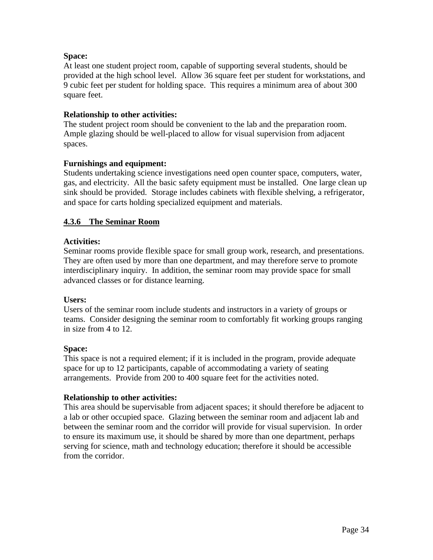### **Space:**

At least one student project room, capable of supporting several students, should be provided at the high school level. Allow 36 square feet per student for workstations, and 9 cubic feet per student for holding space. This requires a minimum area of about 300 square feet.

#### **Relationship to other activities:**

The student project room should be convenient to the lab and the preparation room. Ample glazing should be well-placed to allow for visual supervision from adjacent spaces.

#### **Furnishings and equipment:**

Students undertaking science investigations need open counter space, computers, water, gas, and electricity. All the basic safety equipment must be installed. One large clean up sink should be provided. Storage includes cabinets with flexible shelving, a refrigerator, and space for carts holding specialized equipment and materials.

#### **4.3.6 The Seminar Room**

#### **Activities:**

Seminar rooms provide flexible space for small group work, research, and presentations. They are often used by more than one department, and may therefore serve to promote interdisciplinary inquiry. In addition, the seminar room may provide space for small advanced classes or for distance learning.

#### **Users:**

Users of the seminar room include students and instructors in a variety of groups or teams. Consider designing the seminar room to comfortably fit working groups ranging in size from 4 to 12.

#### **Space:**

This space is not a required element; if it is included in the program, provide adequate space for up to 12 participants, capable of accommodating a variety of seating arrangements. Provide from 200 to 400 square feet for the activities noted.

## **Relationship to other activities:**

This area should be supervisable from adjacent spaces; it should therefore be adjacent to a lab or other occupied space. Glazing between the seminar room and adjacent lab and between the seminar room and the corridor will provide for visual supervision. In order to ensure its maximum use, it should be shared by more than one department, perhaps serving for science, math and technology education; therefore it should be accessible from the corridor.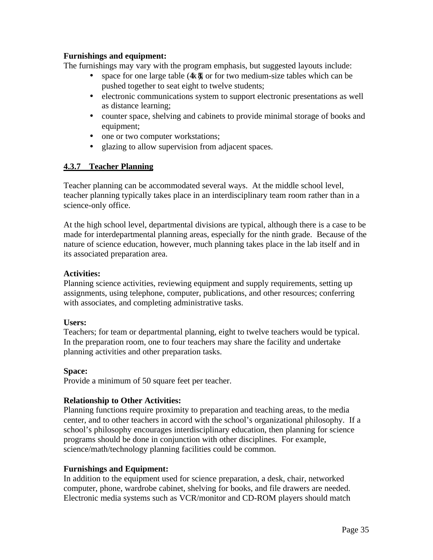### **Furnishings and equipment:**

The furnishings may vary with the program emphasis, but suggested layouts include:

- space for one large table  $(4 \times 8)$ , or for two medium-size tables which can be pushed together to seat eight to twelve students;
- electronic communications system to support electronic presentations as well as distance learning;
- counter space, shelving and cabinets to provide minimal storage of books and equipment;
- one or two computer workstations;
- glazing to allow supervision from adjacent spaces.

#### **4.3.7 Teacher Planning**

Teacher planning can be accommodated several ways. At the middle school level, teacher planning typically takes place in an interdisciplinary team room rather than in a science-only office.

At the high school level, departmental divisions are typical, although there is a case to be made for interdepartmental planning areas, especially for the ninth grade. Because of the nature of science education, however, much planning takes place in the lab itself and in its associated preparation area.

#### **Activities:**

Planning science activities, reviewing equipment and supply requirements, setting up assignments, using telephone, computer, publications, and other resources; conferring with associates, and completing administrative tasks.

#### **Users:**

Teachers; for team or departmental planning, eight to twelve teachers would be typical. In the preparation room, one to four teachers may share the facility and undertake planning activities and other preparation tasks.

#### **Space:**

Provide a minimum of 50 square feet per teacher.

## **Relationship to Other Activities:**

Planning functions require proximity to preparation and teaching areas, to the media center, and to other teachers in accord with the school's organizational philosophy. If a school's philosophy encourages interdisciplinary education, then planning for science programs should be done in conjunction with other disciplines. For example, science/math/technology planning facilities could be common.

## **Furnishings and Equipment:**

In addition to the equipment used for science preparation, a desk, chair, networked computer, phone, wardrobe cabinet, shelving for books, and file drawers are needed. Electronic media systems such as VCR/monitor and CD-ROM players should match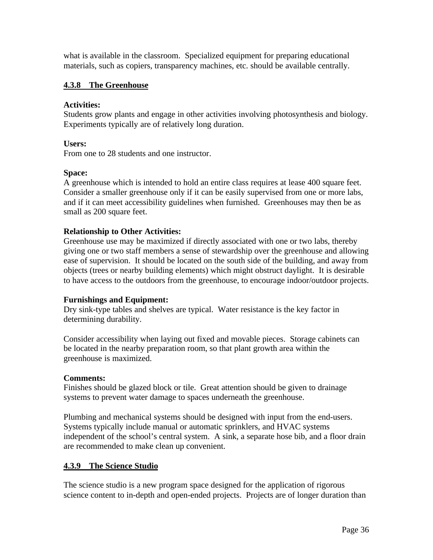what is available in the classroom. Specialized equipment for preparing educational materials, such as copiers, transparency machines, etc. should be available centrally.

### **4.3.8 The Greenhouse**

#### **Activities:**

Students grow plants and engage in other activities involving photosynthesis and biology. Experiments typically are of relatively long duration.

#### **Users:**

From one to 28 students and one instructor.

#### **Space:**

A greenhouse which is intended to hold an entire class requires at lease 400 square feet. Consider a smaller greenhouse only if it can be easily supervised from one or more labs, and if it can meet accessibility guidelines when furnished. Greenhouses may then be as small as 200 square feet.

#### **Relationship to Other Activities:**

Greenhouse use may be maximized if directly associated with one or two labs, thereby giving one or two staff members a sense of stewardship over the greenhouse and allowing ease of supervision. It should be located on the south side of the building, and away from objects (trees or nearby building elements) which might obstruct daylight. It is desirable to have access to the outdoors from the greenhouse, to encourage indoor/outdoor projects.

#### **Furnishings and Equipment:**

Dry sink-type tables and shelves are typical. Water resistance is the key factor in determining durability.

Consider accessibility when laying out fixed and movable pieces. Storage cabinets can be located in the nearby preparation room, so that plant growth area within the greenhouse is maximized.

#### **Comments:**

Finishes should be glazed block or tile. Great attention should be given to drainage systems to prevent water damage to spaces underneath the greenhouse.

Plumbing and mechanical systems should be designed with input from the end-users. Systems typically include manual or automatic sprinklers, and HVAC systems independent of the school's central system. A sink, a separate hose bib, and a floor drain are recommended to make clean up convenient.

## **4.3.9 The Science Studio**

The science studio is a new program space designed for the application of rigorous science content to in-depth and open-ended projects. Projects are of longer duration than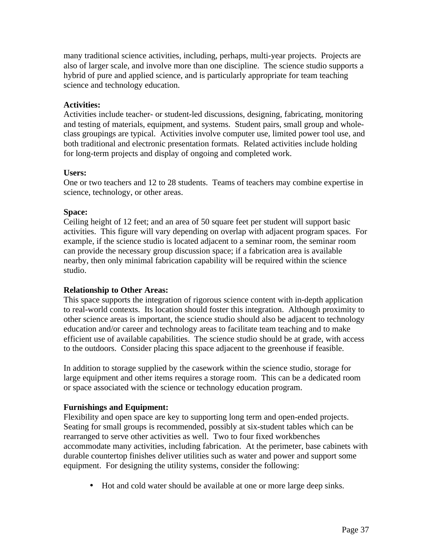many traditional science activities, including, perhaps, multi-year projects. Projects are also of larger scale, and involve more than one discipline. The science studio supports a hybrid of pure and applied science, and is particularly appropriate for team teaching science and technology education.

## **Activities:**

Activities include teacher- or student-led discussions, designing, fabricating, monitoring and testing of materials, equipment, and systems. Student pairs, small group and wholeclass groupings are typical. Activities involve computer use, limited power tool use, and both traditional and electronic presentation formats. Related activities include holding for long-term projects and display of ongoing and completed work.

## **Users:**

One or two teachers and 12 to 28 students. Teams of teachers may combine expertise in science, technology, or other areas.

#### **Space:**

Ceiling height of 12 feet; and an area of 50 square feet per student will support basic activities. This figure will vary depending on overlap with adjacent program spaces. For example, if the science studio is located adjacent to a seminar room, the seminar room can provide the necessary group discussion space; if a fabrication area is available nearby, then only minimal fabrication capability will be required within the science studio.

## **Relationship to Other Areas:**

This space supports the integration of rigorous science content with in-depth application to real-world contexts. Its location should foster this integration. Although proximity to other science areas is important, the science studio should also be adjacent to technology education and/or career and technology areas to facilitate team teaching and to make efficient use of available capabilities. The science studio should be at grade, with access to the outdoors. Consider placing this space adjacent to the greenhouse if feasible.

In addition to storage supplied by the casework within the science studio, storage for large equipment and other items requires a storage room. This can be a dedicated room or space associated with the science or technology education program.

## **Furnishings and Equipment:**

Flexibility and open space are key to supporting long term and open-ended projects. Seating for small groups is recommended, possibly at six-student tables which can be rearranged to serve other activities as well. Two to four fixed workbenches accommodate many activities, including fabrication. At the perimeter, base cabinets with durable countertop finishes deliver utilities such as water and power and support some equipment. For designing the utility systems, consider the following:

• Hot and cold water should be available at one or more large deep sinks.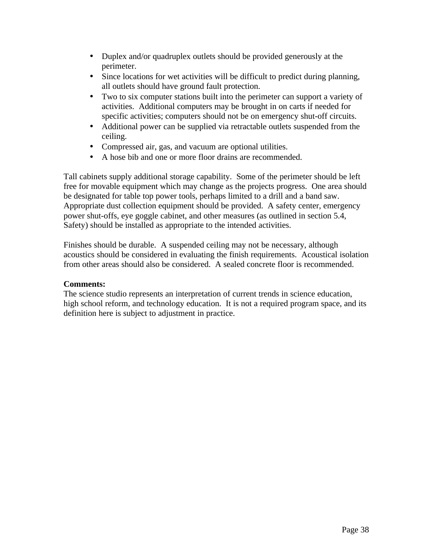- Duplex and/or quadruplex outlets should be provided generously at the perimeter.
- Since locations for wet activities will be difficult to predict during planning, all outlets should have ground fault protection.
- Two to six computer stations built into the perimeter can support a variety of activities. Additional computers may be brought in on carts if needed for specific activities; computers should not be on emergency shut-off circuits.
- Additional power can be supplied via retractable outlets suspended from the ceiling.
- Compressed air, gas, and vacuum are optional utilities.
- A hose bib and one or more floor drains are recommended.

Tall cabinets supply additional storage capability. Some of the perimeter should be left free for movable equipment which may change as the projects progress. One area should be designated for table top power tools, perhaps limited to a drill and a band saw. Appropriate dust collection equipment should be provided. A safety center, emergency power shut-offs, eye goggle cabinet, and other measures (as outlined in section 5.4, Safety) should be installed as appropriate to the intended activities.

Finishes should be durable. A suspended ceiling may not be necessary, although acoustics should be considered in evaluating the finish requirements. Acoustical isolation from other areas should also be considered. A sealed concrete floor is recommended.

#### **Comments:**

The science studio represents an interpretation of current trends in science education, high school reform, and technology education. It is not a required program space, and its definition here is subject to adjustment in practice.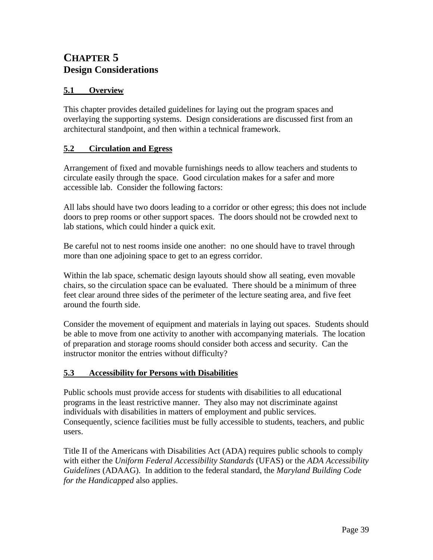## **CHAPTER 5 Design Considerations**

## **5.1 Overview**

This chapter provides detailed guidelines for laying out the program spaces and overlaying the supporting systems. Design considerations are discussed first from an architectural standpoint, and then within a technical framework.

#### **5.2 Circulation and Egress**

Arrangement of fixed and movable furnishings needs to allow teachers and students to circulate easily through the space. Good circulation makes for a safer and more accessible lab. Consider the following factors:

All labs should have two doors leading to a corridor or other egress; this does not include doors to prep rooms or other support spaces. The doors should not be crowded next to lab stations, which could hinder a quick exit.

Be careful not to nest rooms inside one another: no one should have to travel through more than one adjoining space to get to an egress corridor.

Within the lab space, schematic design layouts should show all seating, even movable chairs, so the circulation space can be evaluated. There should be a minimum of three feet clear around three sides of the perimeter of the lecture seating area, and five feet around the fourth side.

Consider the movement of equipment and materials in laying out spaces. Students should be able to move from one activity to another with accompanying materials. The location of preparation and storage rooms should consider both access and security. Can the instructor monitor the entries without difficulty?

## **5.3 Accessibility for Persons with Disabilities**

Public schools must provide access for students with disabilities to all educational programs in the least restrictive manner. They also may not discriminate against individuals with disabilities in matters of employment and public services. Consequently, science facilities must be fully accessible to students, teachers, and public users.

Title II of the Americans with Disabilities Act (ADA) requires public schools to comply with either the *Uniform Federal Accessibility Standards* (UFAS) or the *ADA Accessibility Guidelines* (ADAAG). In addition to the federal standard, the *Maryland Building Code for the Handicapped* also applies.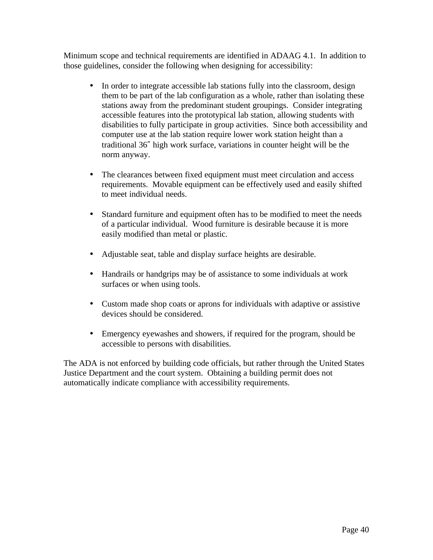Minimum scope and technical requirements are identified in ADAAG 4.1. In addition to those guidelines, consider the following when designing for accessibility:

- In order to integrate accessible lab stations fully into the classroom, design them to be part of the lab configuration as a whole, rather than isolating these stations away from the predominant student groupings. Consider integrating accessible features into the prototypical lab station, allowing students with disabilities to fully participate in group activities. Since both accessibility and computer use at the lab station require lower work station height than a traditional 36† high work surface, variations in counter height will be the norm anyway.
- The clearances between fixed equipment must meet circulation and access requirements. Movable equipment can be effectively used and easily shifted to meet individual needs.
- Standard furniture and equipment often has to be modified to meet the needs of a particular individual. Wood furniture is desirable because it is more easily modified than metal or plastic.
- Adjustable seat, table and display surface heights are desirable.
- • Handrails or handgrips may be of assistance to some individuals at work surfaces or when using tools.
- Custom made shop coats or aprons for individuals with adaptive or assistive devices should be considered.
- Emergency eyewashes and showers, if required for the program, should be accessible to persons with disabilities.

The ADA is not enforced by building code officials, but rather through the United States Justice Department and the court system. Obtaining a building permit does not automatically indicate compliance with accessibility requirements.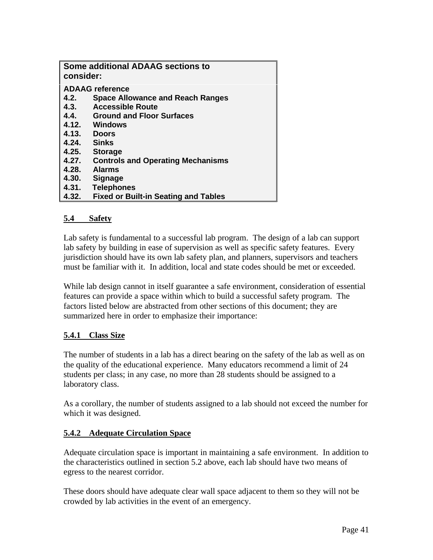| <b>Some additional ADAAG sections to</b><br>consider: |                                             |  |  |  |
|-------------------------------------------------------|---------------------------------------------|--|--|--|
| <b>ADAAG</b> reference                                |                                             |  |  |  |
| 4.2.                                                  | <b>Space Allowance and Reach Ranges</b>     |  |  |  |
| 4.3.                                                  | <b>Accessible Route</b>                     |  |  |  |
| 4.4.                                                  | <b>Ground and Floor Surfaces</b>            |  |  |  |
|                                                       | 4.12. Windows                               |  |  |  |
| 4.13.                                                 | <b>Doors</b>                                |  |  |  |
| 4.24.                                                 | <b>Sinks</b>                                |  |  |  |
| 4.25.                                                 | <b>Storage</b>                              |  |  |  |
| 4.27.                                                 | <b>Controls and Operating Mechanisms</b>    |  |  |  |
| 4.28.                                                 | <b>Alarms</b>                               |  |  |  |
| 4.30.                                                 | <b>Signage</b>                              |  |  |  |
| 4.31.                                                 | <b>Telephones</b>                           |  |  |  |
| 4.32.                                                 | <b>Fixed or Built-in Seating and Tables</b> |  |  |  |

#### **5.4 Safety**

Lab safety is fundamental to a successful lab program. The design of a lab can support lab safety by building in ease of supervision as well as specific safety features. Every jurisdiction should have its own lab safety plan, and planners, supervisors and teachers must be familiar with it. In addition, local and state codes should be met or exceeded.

While lab design cannot in itself guarantee a safe environment, consideration of essential features can provide a space within which to build a successful safety program. The factors listed below are abstracted from other sections of this document; they are summarized here in order to emphasize their importance:

## **5.4.1 Class Size**

The number of students in a lab has a direct bearing on the safety of the lab as well as on the quality of the educational experience. Many educators recommend a limit of 24 students per class; in any case, no more than 28 students should be assigned to a laboratory class.

As a corollary, the number of students assigned to a lab should not exceed the number for which it was designed.

## **5.4.2 Adequate Circulation Space**

Adequate circulation space is important in maintaining a safe environment. In addition to the characteristics outlined in section 5.2 above, each lab should have two means of egress to the nearest corridor.

These doors should have adequate clear wall space adjacent to them so they will not be crowded by lab activities in the event of an emergency.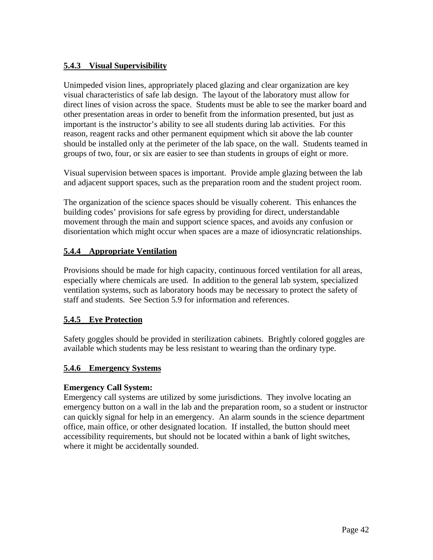## **5.4.3 Visual Supervisibility**

Unimpeded vision lines, appropriately placed glazing and clear organization are key visual characteristics of safe lab design. The layout of the laboratory must allow for direct lines of vision across the space. Students must be able to see the marker board and other presentation areas in order to benefit from the information presented, but just as important is the instructor's ability to see all students during lab activities. For this reason, reagent racks and other permanent equipment which sit above the lab counter should be installed only at the perimeter of the lab space, on the wall. Students teamed in groups of two, four, or six are easier to see than students in groups of eight or more.

Visual supervision between spaces is important. Provide ample glazing between the lab and adjacent support spaces, such as the preparation room and the student project room.

The organization of the science spaces should be visually coherent. This enhances the building codes' provisions for safe egress by providing for direct, understandable movement through the main and support science spaces, and avoids any confusion or disorientation which might occur when spaces are a maze of idiosyncratic relationships.

## **5.4.4 Appropriate Ventilation**

Provisions should be made for high capacity, continuous forced ventilation for all areas, especially where chemicals are used. In addition to the general lab system, specialized ventilation systems, such as laboratory hoods may be necessary to protect the safety of staff and students. See Section 5.9 for information and references.

## **5.4.5 Eye Protection**

Safety goggles should be provided in sterilization cabinets. Brightly colored goggles are available which students may be less resistant to wearing than the ordinary type.

## **5.4.6 Emergency Systems**

## **Emergency Call System:**

Emergency call systems are utilized by some jurisdictions. They involve locating an emergency button on a wall in the lab and the preparation room, so a student or instructor can quickly signal for help in an emergency. An alarm sounds in the science department office, main office, or other designated location. If installed, the button should meet accessibility requirements, but should not be located within a bank of light switches, where it might be accidentally sounded.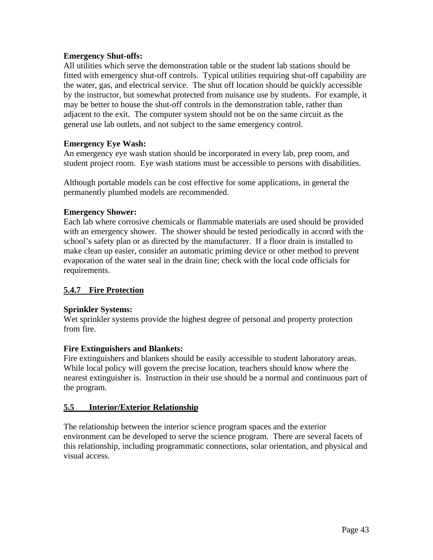#### **Emergency Shut-offs:**

All utilities which serve the demonstration table or the student lab stations should be fitted with emergency shut-off controls. Typical utilities requiring shut-off capability are the water, gas, and electrical service. The shut off location should be quickly accessible by the instructor, but somewhat protected from nuisance use by students. For example, it may be better to house the shut-off controls in the demonstration table, rather than adjacent to the exit. The computer system should not be on the same circuit as the general use lab outlets, and not subject to the same emergency control.

#### **Emergency Eye Wash:**

An emergency eye wash station should be incorporated in every lab, prep room, and student project room. Eye wash stations must be accessible to persons with disabilities.

Although portable models can be cost effective for some applications, in general the permanently plumbed models are recommended.

#### **Emergency Shower:**

Each lab where corrosive chemicals or flammable materials are used should be provided with an emergency shower. The shower should be tested periodically in accord with the school's safety plan or as directed by the manufacturer. If a floor drain is installed to make clean up easier, consider an automatic priming device or other method to prevent evaporation of the water seal in the drain line; check with the local code officials for requirements.

## **5.4.7 Fire Protection**

#### **Sprinkler Systems:**

Wet sprinkler systems provide the highest degree of personal and property protection from fire.

#### **Fire Extinguishers and Blankets:**

Fire extinguishers and blankets should be easily accessible to student laboratory areas. While local policy will govern the precise location, teachers should know where the nearest extinguisher is. Instruction in their use should be a normal and continuous part of the program.

## **5.5 Interior/Exterior Relationship**

The relationship between the interior science program spaces and the exterior environment can be developed to serve the science program. There are several facets of this relationship, including programmatic connections, solar orientation, and physical and visual access.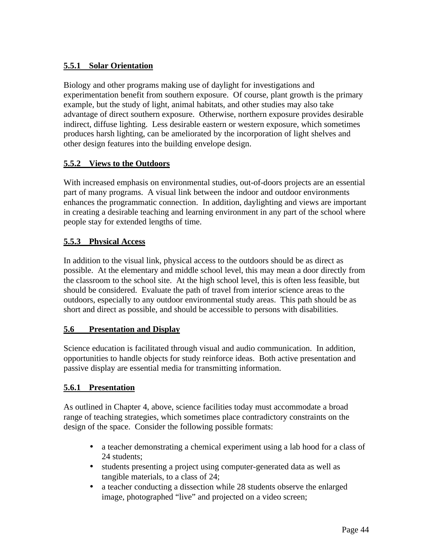## **5.5.1 Solar Orientation**

Biology and other programs making use of daylight for investigations and experimentation benefit from southern exposure. Of course, plant growth is the primary example, but the study of light, animal habitats, and other studies may also take advantage of direct southern exposure. Otherwise, northern exposure provides desirable indirect, diffuse lighting. Less desirable eastern or western exposure, which sometimes produces harsh lighting, can be ameliorated by the incorporation of light shelves and other design features into the building envelope design.

## **5.5.2 Views to the Outdoors**

With increased emphasis on environmental studies, out-of-doors projects are an essential part of many programs. A visual link between the indoor and outdoor environments enhances the programmatic connection. In addition, daylighting and views are important in creating a desirable teaching and learning environment in any part of the school where people stay for extended lengths of time.

## **5.5.3 Physical Access**

In addition to the visual link, physical access to the outdoors should be as direct as possible. At the elementary and middle school level, this may mean a door directly from the classroom to the school site. At the high school level, this is often less feasible, but should be considered. Evaluate the path of travel from interior science areas to the outdoors, especially to any outdoor environmental study areas. This path should be as short and direct as possible, and should be accessible to persons with disabilities.

## **5.6 Presentation and Display**

Science education is facilitated through visual and audio communication. In addition, opportunities to handle objects for study reinforce ideas. Both active presentation and passive display are essential media for transmitting information.

## **5.6.1 Presentation**

As outlined in Chapter 4, above, science facilities today must accommodate a broad range of teaching strategies, which sometimes place contradictory constraints on the design of the space. Consider the following possible formats:

- a teacher demonstrating a chemical experiment using a lab hood for a class of 24 students;
- students presenting a project using computer-generated data as well as tangible materials, to a class of 24;
- a teacher conducting a dissection while 28 students observe the enlarged image, photographed "live" and projected on a video screen;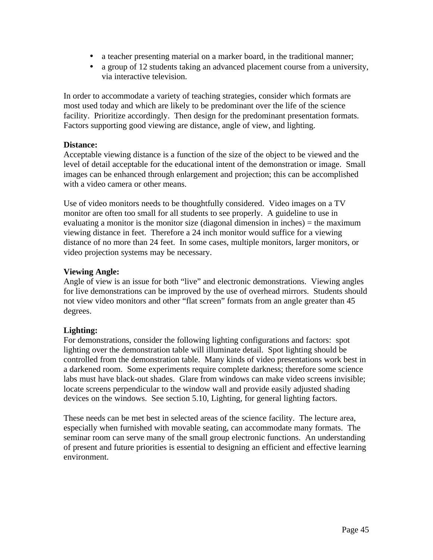- a teacher presenting material on a marker board, in the traditional manner;
- a group of 12 students taking an advanced placement course from a university, via interactive television.

In order to accommodate a variety of teaching strategies, consider which formats are most used today and which are likely to be predominant over the life of the science facility. Prioritize accordingly. Then design for the predominant presentation formats. Factors supporting good viewing are distance, angle of view, and lighting.

#### **Distance:**

Acceptable viewing distance is a function of the size of the object to be viewed and the level of detail acceptable for the educational intent of the demonstration or image. Small images can be enhanced through enlargement and projection; this can be accomplished with a video camera or other means.

Use of video monitors needs to be thoughtfully considered. Video images on a TV monitor are often too small for all students to see properly. A guideline to use in evaluating a monitor is the monitor size (diagonal dimension in inches) = the maximum viewing distance in feet. Therefore a 24 inch monitor would suffice for a viewing distance of no more than 24 feet. In some cases, multiple monitors, larger monitors, or video projection systems may be necessary.

#### **Viewing Angle:**

Angle of view is an issue for both "live" and electronic demonstrations. Viewing angles for live demonstrations can be improved by the use of overhead mirrors. Students should not view video monitors and other "flat screen" formats from an angle greater than 45 degrees.

## **Lighting:**

For demonstrations, consider the following lighting configurations and factors: spot lighting over the demonstration table will illuminate detail. Spot lighting should be controlled from the demonstration table. Many kinds of video presentations work best in a darkened room. Some experiments require complete darkness; therefore some science labs must have black-out shades. Glare from windows can make video screens invisible; locate screens perpendicular to the window wall and provide easily adjusted shading devices on the windows. See section 5.10, Lighting, for general lighting factors.

These needs can be met best in selected areas of the science facility. The lecture area, especially when furnished with movable seating, can accommodate many formats. The seminar room can serve many of the small group electronic functions. An understanding of present and future priorities is essential to designing an efficient and effective learning environment.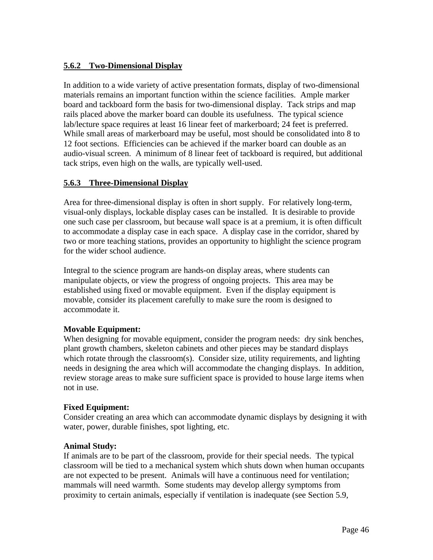## **5.6.2 Two-Dimensional Display**

In addition to a wide variety of active presentation formats, display of two-dimensional materials remains an important function within the science facilities. Ample marker board and tackboard form the basis for two-dimensional display. Tack strips and map rails placed above the marker board can double its usefulness. The typical science lab/lecture space requires at least 16 linear feet of markerboard; 24 feet is preferred. While small areas of markerboard may be useful, most should be consolidated into 8 to 12 foot sections. Efficiencies can be achieved if the marker board can double as an audio-visual screen. A minimum of 8 linear feet of tackboard is required, but additional tack strips, even high on the walls, are typically well-used.

## **5.6.3 Three-Dimensional Display**

Area for three-dimensional display is often in short supply. For relatively long-term, visual-only displays, lockable display cases can be installed. It is desirable to provide one such case per classroom, but because wall space is at a premium, it is often difficult to accommodate a display case in each space. A display case in the corridor, shared by two or more teaching stations, provides an opportunity to highlight the science program for the wider school audience.

Integral to the science program are hands-on display areas, where students can manipulate objects, or view the progress of ongoing projects. This area may be established using fixed or movable equipment. Even if the display equipment is movable, consider its placement carefully to make sure the room is designed to accommodate it.

## **Movable Equipment:**

When designing for movable equipment, consider the program needs: dry sink benches, plant growth chambers, skeleton cabinets and other pieces may be standard displays which rotate through the classroom(s). Consider size, utility requirements, and lighting needs in designing the area which will accommodate the changing displays. In addition, review storage areas to make sure sufficient space is provided to house large items when not in use.

#### **Fixed Equipment:**

Consider creating an area which can accommodate dynamic displays by designing it with water, power, durable finishes, spot lighting, etc.

#### **Animal Study:**

If animals are to be part of the classroom, provide for their special needs. The typical classroom will be tied to a mechanical system which shuts down when human occupants are not expected to be present. Animals will have a continuous need for ventilation; mammals will need warmth. Some students may develop allergy symptoms from proximity to certain animals, especially if ventilation is inadequate (see Section 5.9,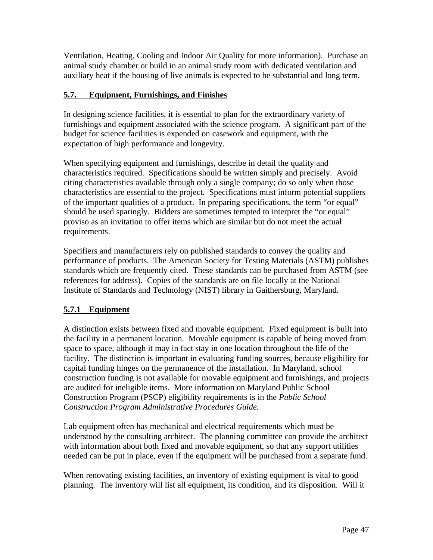Ventilation, Heating, Cooling and Indoor Air Quality for more information). Purchase an animal study chamber or build in an animal study room with dedicated ventilation and auxiliary heat if the housing of live animals is expected to be substantial and long term.

## **5.7. Equipment, Furnishings, and Finishes**

In designing science facilities, it is essential to plan for the extraordinary variety of furnishings and equipment associated with the science program. A significant part of the budget for science facilities is expended on casework and equipment, with the expectation of high performance and longevity.

When specifying equipment and furnishings, describe in detail the quality and characteristics required. Specifications should be written simply and precisely. Avoid citing characteristics available through only a single company; do so only when those characteristics are essential to the project. Specifications must inform potential suppliers of the important qualities of a product. In preparing specifications, the term "or equal" should be used sparingly. Bidders are sometimes tempted to interpret the "or equal" proviso as an invitation to offer items which are similar but do not meet the actual requirements.

Specifiers and manufacturers rely on published standards to convey the quality and performance of products. The American Society for Testing Materials (ASTM) publishes standards which are frequently cited. These standards can be purchased from ASTM (see references for address). Copies of the standards are on file locally at the National Institute of Standards and Technology (NIST) library in Gaithersburg, Maryland.

## **5.7.1 Equipment**

A distinction exists between fixed and movable equipment. Fixed equipment is built into the facility in a permanent location. Movable equipment is capable of being moved from space to space, although it may in fact stay in one location throughout the life of the facility. The distinction is important in evaluating funding sources, because eligibility for capital funding hinges on the permanence of the installation. In Maryland, school construction funding is not available for movable equipment and furnishings, and projects are audited for ineligible items. More information on Maryland Public School Construction Program (PSCP) eligibility requirements is in the *Public School Construction Program Administrative Procedures Guide.* 

Lab equipment often has mechanical and electrical requirements which must be understood by the consulting architect. The planning committee can provide the architect with information about both fixed and movable equipment, so that any support utilities needed can be put in place, even if the equipment will be purchased from a separate fund.

When renovating existing facilities, an inventory of existing equipment is vital to good planning. The inventory will list all equipment, its condition, and its disposition. Will it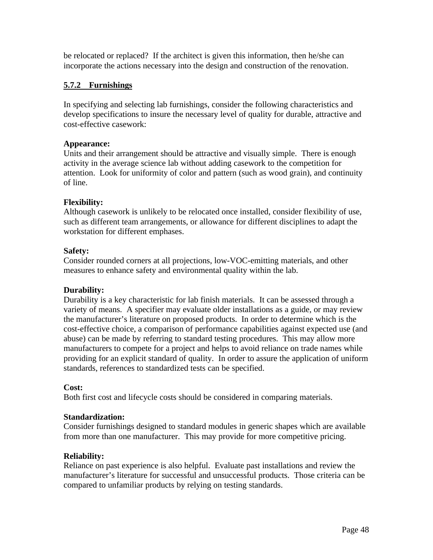be relocated or replaced? If the architect is given this information, then he/she can incorporate the actions necessary into the design and construction of the renovation.

## **5.7.2 Furnishings**

In specifying and selecting lab furnishings, consider the following characteristics and develop specifications to insure the necessary level of quality for durable, attractive and cost-effective casework:

#### **Appearance:**

Units and their arrangement should be attractive and visually simple. There is enough activity in the average science lab without adding casework to the competition for attention. Look for uniformity of color and pattern (such as wood grain), and continuity of line.

#### **Flexibility:**

Although casework is unlikely to be relocated once installed, consider flexibility of use, such as different team arrangements, or allowance for different disciplines to adapt the workstation for different emphases.

#### **Safety:**

Consider rounded corners at all projections, low-VOC-emitting materials, and other measures to enhance safety and environmental quality within the lab.

## **Durability:**

Durability is a key characteristic for lab finish materials. It can be assessed through a variety of means. A specifier may evaluate older installations as a guide, or may review the manufacturer's literature on proposed products. In order to determine which is the cost-effective choice, a comparison of performance capabilities against expected use (and abuse) can be made by referring to standard testing procedures. This may allow more manufacturers to compete for a project and helps to avoid reliance on trade names while providing for an explicit standard of quality. In order to assure the application of uniform standards, references to standardized tests can be specified.

#### **Cost:**

Both first cost and lifecycle costs should be considered in comparing materials.

#### **Standardization:**

Consider furnishings designed to standard modules in generic shapes which are available from more than one manufacturer. This may provide for more competitive pricing.

#### **Reliability:**

Reliance on past experience is also helpful. Evaluate past installations and review the manufacturer's literature for successful and unsuccessful products. Those criteria can be compared to unfamiliar products by relying on testing standards.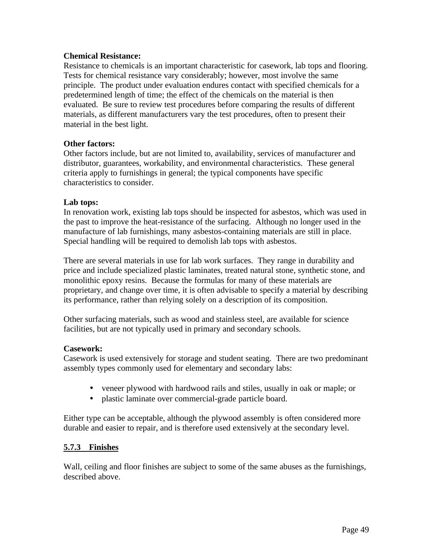#### **Chemical Resistance:**

Resistance to chemicals is an important characteristic for casework, lab tops and flooring. Tests for chemical resistance vary considerably; however, most involve the same principle. The product under evaluation endures contact with specified chemicals for a predetermined length of time; the effect of the chemicals on the material is then evaluated. Be sure to review test procedures before comparing the results of different materials, as different manufacturers vary the test procedures, often to present their material in the best light.

#### **Other factors:**

Other factors include, but are not limited to, availability, services of manufacturer and distributor, guarantees, workability, and environmental characteristics. These general criteria apply to furnishings in general; the typical components have specific characteristics to consider.

#### **Lab tops:**

In renovation work, existing lab tops should be inspected for asbestos, which was used in the past to improve the heat-resistance of the surfacing. Although no longer used in the manufacture of lab furnishings, many asbestos-containing materials are still in place. Special handling will be required to demolish lab tops with asbestos.

There are several materials in use for lab work surfaces. They range in durability and price and include specialized plastic laminates, treated natural stone, synthetic stone, and monolithic epoxy resins. Because the formulas for many of these materials are proprietary, and change over time, it is often advisable to specify a material by describing its performance, rather than relying solely on a description of its composition.

Other surfacing materials, such as wood and stainless steel, are available for science facilities, but are not typically used in primary and secondary schools.

#### **Casework:**

Casework is used extensively for storage and student seating. There are two predominant assembly types commonly used for elementary and secondary labs:

- veneer plywood with hardwood rails and stiles, usually in oak or maple; or
- plastic laminate over commercial-grade particle board.

Either type can be acceptable, although the plywood assembly is often considered more durable and easier to repair, and is therefore used extensively at the secondary level.

#### **5.7.3 Finishes**

Wall, ceiling and floor finishes are subject to some of the same abuses as the furnishings, described above.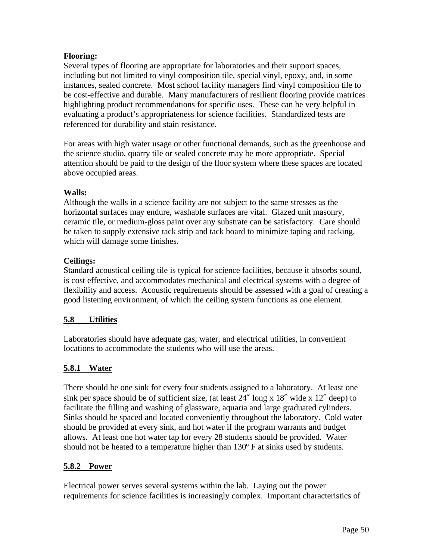## **Flooring:**

Several types of flooring are appropriate for laboratories and their support spaces, including but not limited to vinyl composition tile, special vinyl, epoxy, and, in some instances, sealed concrete. Most school facility managers find vinyl composition tile to be cost-effective and durable. Many manufacturers of resilient flooring provide matrices highlighting product recommendations for specific uses. These can be very helpful in evaluating a product's appropriateness for science facilities. Standardized tests are referenced for durability and stain resistance.

For areas with high water usage or other functional demands, such as the greenhouse and the science studio, quarry tile or sealed concrete may be more appropriate. Special attention should be paid to the design of the floor system where these spaces are located above occupied areas.

## **Walls:**

Although the walls in a science facility are not subject to the same stresses as the horizontal surfaces may endure, washable surfaces are vital. Glazed unit masonry, ceramic tile, or medium-gloss paint over any substrate can be satisfactory. Care should be taken to supply extensive tack strip and tack board to minimize taping and tacking, which will damage some finishes.

## **Ceilings:**

Standard acoustical ceiling tile is typical for science facilities, because it absorbs sound, is cost effective, and accommodates mechanical and electrical systems with a degree of flexibility and access. Acoustic requirements should be assessed with a goal of creating a good listening environment, of which the ceiling system functions as one element.

## **5.8 Utilities**

Laboratories should have adequate gas, water, and electrical utilities, in convenient locations to accommodate the students who will use the areas.

## **5.8.1 Water**

There should be one sink for every four students assigned to a laboratory. At least one sink per space should be of sufficient size, (at least  $24''$  long x  $18''$  wide x  $12''$  deep) to facilitate the filling and washing of glassware, aquaria and large graduated cylinders. Sinks should be spaced and located conveniently throughout the laboratory. Cold water should be provided at every sink, and hot water if the program warrants and budget allows. At least one hot water tap for every 28 students should be provided. Water should not be heated to a temperature higher than 130º F at sinks used by students.

## **5.8.2 Power**

Electrical power serves several systems within the lab. Laying out the power requirements for science facilities is increasingly complex. Important characteristics of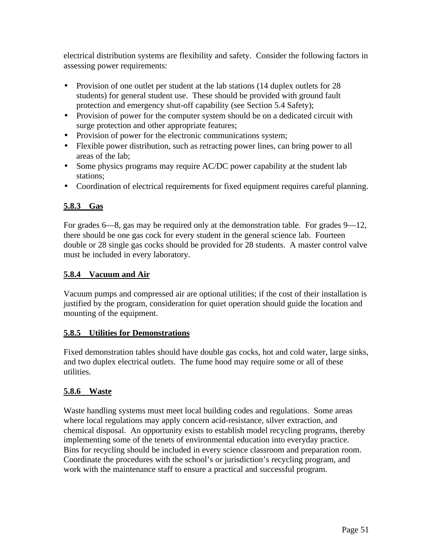electrical distribution systems are flexibility and safety. Consider the following factors in assessing power requirements:

- Provision of one outlet per student at the lab stations (14 duplex outlets for 28 students) for general student use. These should be provided with ground fault protection and emergency shut-off capability (see Section 5.4 Safety);
- Provision of power for the computer system should be on a dedicated circuit with surge protection and other appropriate features;
- Provision of power for the electronic communications system;
- Flexible power distribution, such as retracting power lines, can bring power to all areas of the lab;
- Some physics programs may require AC/DC power capability at the student lab stations;
- Coordination of electrical requirements for fixed equipment requires careful planning.

## **5.8.3 Gas**

For grades 6—8, gas may be required only at the demonstration table. For grades 9—12, there should be one gas cock for every student in the general science lab. Fourteen double or 28 single gas cocks should be provided for 28 students. A master control valve must be included in every laboratory.

## **5.8.4 Vacuum and Air**

Vacuum pumps and compressed air are optional utilities; if the cost of their installation is justified by the program, consideration for quiet operation should guide the location and mounting of the equipment.

## **5.8.5 Utilities for Demonstrations**

Fixed demonstration tables should have double gas cocks, hot and cold water, large sinks, and two duplex electrical outlets. The fume hood may require some or all of these utilities.

## **5.8.6 Waste**

Waste handling systems must meet local building codes and regulations. Some areas where local regulations may apply concern acid-resistance, silver extraction, and chemical disposal. An opportunity exists to establish model recycling programs, thereby implementing some of the tenets of environmental education into everyday practice. Bins for recycling should be included in every science classroom and preparation room. Coordinate the procedures with the school's or jurisdiction's recycling program, and work with the maintenance staff to ensure a practical and successful program.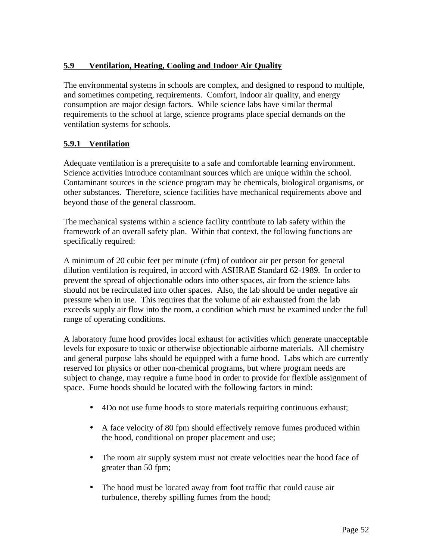## **5.9 Ventilation, Heating, Cooling and Indoor Air Quality**

The environmental systems in schools are complex, and designed to respond to multiple, and sometimes competing, requirements. Comfort, indoor air quality, and energy consumption are major design factors. While science labs have similar thermal requirements to the school at large, science programs place special demands on the ventilation systems for schools.

## **5.9.1 Ventilation**

Adequate ventilation is a prerequisite to a safe and comfortable learning environment. Science activities introduce contaminant sources which are unique within the school. Contaminant sources in the science program may be chemicals, biological organisms, or other substances. Therefore, science facilities have mechanical requirements above and beyond those of the general classroom.

The mechanical systems within a science facility contribute to lab safety within the framework of an overall safety plan. Within that context, the following functions are specifically required:

A minimum of 20 cubic feet per minute (cfm) of outdoor air per person for general dilution ventilation is required, in accord with ASHRAE Standard 62-1989. In order to prevent the spread of objectionable odors into other spaces, air from the science labs should not be recirculated into other spaces. Also, the lab should be under negative air pressure when in use. This requires that the volume of air exhausted from the lab exceeds supply air flow into the room, a condition which must be examined under the full range of operating conditions.

A laboratory fume hood provides local exhaust for activities which generate unacceptable levels for exposure to toxic or otherwise objectionable airborne materials. All chemistry and general purpose labs should be equipped with a fume hood. Labs which are currently reserved for physics or other non-chemical programs, but where program needs are subject to change, may require a fume hood in order to provide for flexible assignment of space. Fume hoods should be located with the following factors in mind:

- 4Do not use fume hoods to store materials requiring continuous exhaust;
- A face velocity of 80 fpm should effectively remove fumes produced within the hood, conditional on proper placement and use;
- The room air supply system must not create velocities near the hood face of greater than 50 fpm;
- The hood must be located away from foot traffic that could cause air turbulence, thereby spilling fumes from the hood;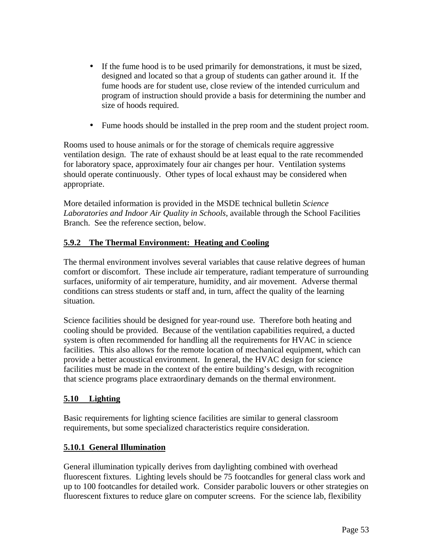- If the fume hood is to be used primarily for demonstrations, it must be sized, designed and located so that a group of students can gather around it. If the fume hoods are for student use, close review of the intended curriculum and program of instruction should provide a basis for determining the number and size of hoods required.
- Fume hoods should be installed in the prep room and the student project room.

Rooms used to house animals or for the storage of chemicals require aggressive ventilation design. The rate of exhaust should be at least equal to the rate recommended for laboratory space, approximately four air changes per hour. Ventilation systems should operate continuously. Other types of local exhaust may be considered when appropriate.

More detailed information is provided in the MSDE technical bulletin *Science Laboratories and Indoor Air Quality in Schools*, available through the School Facilities Branch. See the reference section, below.

## **5.9.2 The Thermal Environment: Heating and Cooling**

The thermal environment involves several variables that cause relative degrees of human comfort or discomfort. These include air temperature, radiant temperature of surrounding surfaces, uniformity of air temperature, humidity, and air movement. Adverse thermal conditions can stress students or staff and, in turn, affect the quality of the learning situation.

Science facilities should be designed for year-round use. Therefore both heating and cooling should be provided. Because of the ventilation capabilities required, a ducted system is often recommended for handling all the requirements for HVAC in science facilities. This also allows for the remote location of mechanical equipment, which can provide a better acoustical environment. In general, the HVAC design for science facilities must be made in the context of the entire building's design, with recognition that science programs place extraordinary demands on the thermal environment.

## **5.10 Lighting**

Basic requirements for lighting science facilities are similar to general classroom requirements, but some specialized characteristics require consideration.

## **5.10.1 General Illumination**

General illumination typically derives from daylighting combined with overhead fluorescent fixtures. Lighting levels should be 75 footcandles for general class work and up to 100 footcandles for detailed work. Consider parabolic louvers or other strategies on fluorescent fixtures to reduce glare on computer screens. For the science lab, flexibility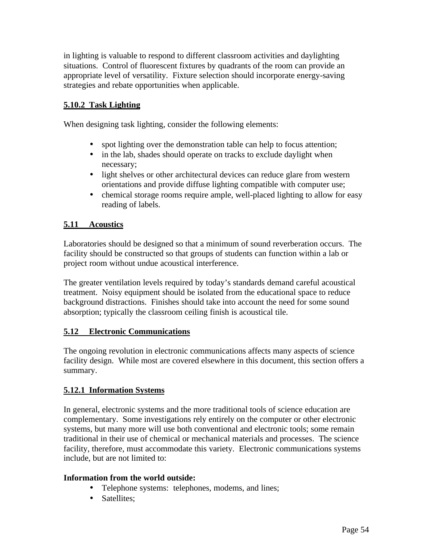in lighting is valuable to respond to different classroom activities and daylighting situations. Control of fluorescent fixtures by quadrants of the room can provide an appropriate level of versatility. Fixture selection should incorporate energy-saving strategies and rebate opportunities when applicable.

## **5.10.2 Task Lighting**

When designing task lighting, consider the following elements:

- spot lighting over the demonstration table can help to focus attention;
- in the lab, shades should operate on tracks to exclude daylight when necessary;
- light shelves or other architectural devices can reduce glare from western orientations and provide diffuse lighting compatible with computer use;
- chemical storage rooms require ample, well-placed lighting to allow for easy reading of labels.

## **5.11 Acoustics**

Laboratories should be designed so that a minimum of sound reverberation occurs. The facility should be constructed so that groups of students can function within a lab or project room without undue acoustical interference.

The greater ventilation levels required by today's standards demand careful acoustical treatment. Noisy equipment should be isolated from the educational space to reduce background distractions. Finishes should take into account the need for some sound absorption; typically the classroom ceiling finish is acoustical tile.

#### **5.12 Electronic Communications**

The ongoing revolution in electronic communications affects many aspects of science facility design. While most are covered elsewhere in this document, this section offers a summary.

#### **5.12.1 Information Systems**

In general, electronic systems and the more traditional tools of science education are complementary. Some investigations rely entirely on the computer or other electronic systems, but many more will use both conventional and electronic tools; some remain traditional in their use of chemical or mechanical materials and processes. The science facility, therefore, must accommodate this variety. Electronic communications systems include, but are not limited to:

#### **Information from the world outside:**

- Telephone systems: telephones, modems, and lines;
- Satellites: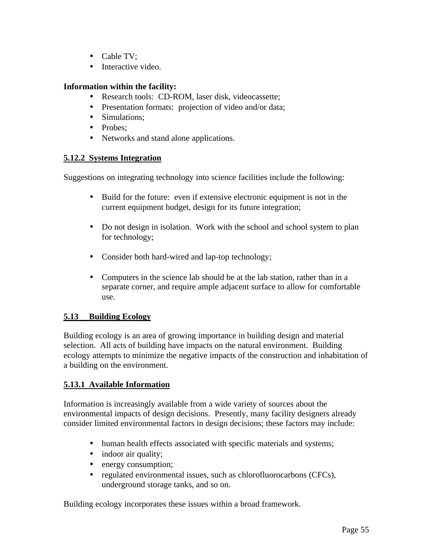- Cable TV:
- Interactive video.

### **Information within the facility:**

- Research tools: CD-ROM, laser disk, videocassette;
- Presentation formats: projection of video and/or data;
- Simulations:
- Probes:
- Networks and stand alone applications.

#### **5.12.2 Systems Integration**

Suggestions on integrating technology into science facilities include the following:

- Build for the future: even if extensive electronic equipment is not in the current equipment budget, design for its future integration;
- Do not design in isolation. Work with the school and school system to plan for technology;
- Consider both hard-wired and lap-top technology;
- Computers in the science lab should be at the lab station, rather than in a separate corner, and require ample adjacent surface to allow for comfortable use.

## **5.13 Building Ecology**

Building ecology is an area of growing importance in building design and material selection. All acts of building have impacts on the natural environment. Building ecology attempts to minimize the negative impacts of the construction and inhabitation of a building on the environment.

## **5.13.1 Available Information**

Information is increasingly available from a wide variety of sources about the environmental impacts of design decisions. Presently, many facility designers already consider limited environmental factors in design decisions; these factors may include:

- human health effects associated with specific materials and systems;
- indoor air quality;
- energy consumption;
- regulated environmental issues, such as chlorofluorocarbons (CFCs), underground storage tanks, and so on.

Building ecology incorporates these issues within a broad framework.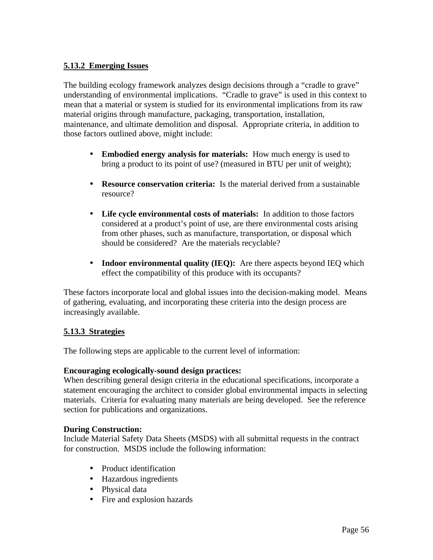## **5.13.2 Emerging Issues**

The building ecology framework analyzes design decisions through a "cradle to grave" understanding of environmental implications. "Cradle to grave" is used in this context to mean that a material or system is studied for its environmental implications from its raw material origins through manufacture, packaging, transportation, installation, maintenance, and ultimate demolition and disposal. Appropriate criteria, in addition to those factors outlined above, might include:

- **Embodied energy analysis for materials:** How much energy is used to bring a product to its point of use? (measured in BTU per unit of weight);
- • **Resource conservation criteria:** Is the material derived from a sustainable resource?
- • **Life cycle environmental costs of materials:** In addition to those factors considered at a product's point of use, are there environmental costs arising from other phases, such as manufacture, transportation, or disposal which should be considered? Are the materials recyclable?
- **Indoor environmental quality (IEQ):** Are there aspects beyond IEQ which effect the compatibility of this produce with its occupants?

These factors incorporate local and global issues into the decision-making model. Means of gathering, evaluating, and incorporating these criteria into the design process are increasingly available.

## **5.13.3 Strategies**

The following steps are applicable to the current level of information:

## **Encouraging ecologically-sound design practices:**

When describing general design criteria in the educational specifications, incorporate a statement encouraging the architect to consider global environmental impacts in selecting materials. Criteria for evaluating many materials are being developed. See the reference section for publications and organizations.

#### **During Construction:**

Include Material Safety Data Sheets (MSDS) with all submittal requests in the contract for construction. MSDS include the following information:

- Product identification
- Hazardous ingredients
- Physical data
- Fire and explosion hazards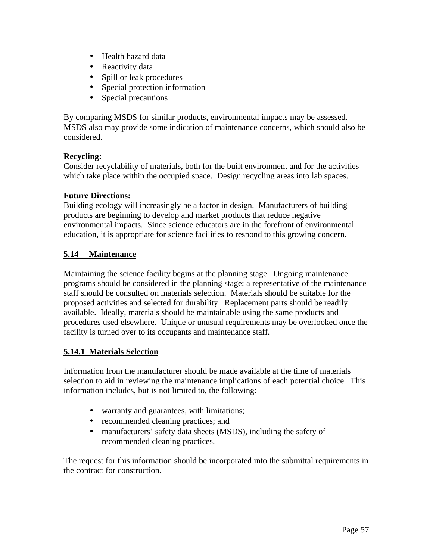- • Health hazard data
- Reactivity data
- Spill or leak procedures
- Special protection information
- Special precautions

By comparing MSDS for similar products, environmental impacts may be assessed. MSDS also may provide some indication of maintenance concerns, which should also be considered.

## **Recycling:**

Consider recyclability of materials, both for the built environment and for the activities which take place within the occupied space. Design recycling areas into lab spaces.

## **Future Directions:**

Building ecology will increasingly be a factor in design. Manufacturers of building products are beginning to develop and market products that reduce negative environmental impacts. Since science educators are in the forefront of environmental education, it is appropriate for science facilities to respond to this growing concern.

## **5.14 Maintenance**

Maintaining the science facility begins at the planning stage. Ongoing maintenance programs should be considered in the planning stage; a representative of the maintenance staff should be consulted on materials selection. Materials should be suitable for the proposed activities and selected for durability. Replacement parts should be readily available. Ideally, materials should be maintainable using the same products and procedures used elsewhere. Unique or unusual requirements may be overlooked once the facility is turned over to its occupants and maintenance staff.

## **5.14.1 Materials Selection**

Information from the manufacturer should be made available at the time of materials selection to aid in reviewing the maintenance implications of each potential choice. This information includes, but is not limited to, the following:

- warranty and guarantees, with limitations;
- recommended cleaning practices; and
- manufacturers' safety data sheets (MSDS), including the safety of recommended cleaning practices.

The request for this information should be incorporated into the submittal requirements in the contract for construction.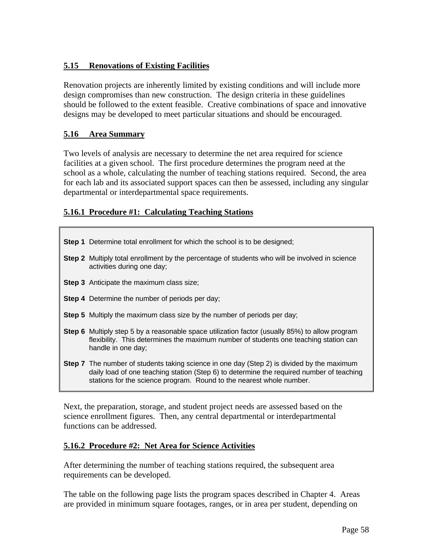## **5.15 Renovations of Existing Facilities**

Renovation projects are inherently limited by existing conditions and will include more design compromises than new construction. The design criteria in these guidelines should be followed to the extent feasible. Creative combinations of space and innovative designs may be developed to meet particular situations and should be encouraged.

## **5.16 Area Summary**

Two levels of analysis are necessary to determine the net area required for science facilities at a given school. The first procedure determines the program need at the school as a whole, calculating the number of teaching stations required. Second, the area for each lab and its associated support spaces can then be assessed, including any singular departmental or interdepartmental space requirements.

## **5.16.1 Procedure #1: Calculating Teaching Stations**

| <b>Step 1</b> Determine total enrollment for which the school is to be designed;                                                                                                                                                                                      |  |  |  |
|-----------------------------------------------------------------------------------------------------------------------------------------------------------------------------------------------------------------------------------------------------------------------|--|--|--|
| <b>Step 2</b> Multiply total enrollment by the percentage of students who will be involved in science<br>activities during one day;                                                                                                                                   |  |  |  |
| Step 3 Anticipate the maximum class size;                                                                                                                                                                                                                             |  |  |  |
| <b>Step 4</b> Determine the number of periods per day;                                                                                                                                                                                                                |  |  |  |
| <b>Step 5</b> Multiply the maximum class size by the number of periods per day;                                                                                                                                                                                       |  |  |  |
| <b>Step 6</b> Multiply step 5 by a reasonable space utilization factor (usually 85%) to allow program<br>flexibility. This determines the maximum number of students one teaching station can<br>handle in one day;                                                   |  |  |  |
| <b>Step 7</b> The number of students taking science in one day (Step 2) is divided by the maximum<br>daily load of one teaching station (Step 6) to determine the required number of teaching<br>stations for the science program. Round to the nearest whole number. |  |  |  |

Next, the preparation, storage, and student project needs are assessed based on the science enrollment figures. Then, any central departmental or interdepartmental functions can be addressed.

#### **5.16.2 Procedure #2: Net Area for Science Activities**

After determining the number of teaching stations required, the subsequent area requirements can be developed.

The table on the following page lists the program spaces described in Chapter 4. Areas are provided in minimum square footages, ranges, or in area per student, depending on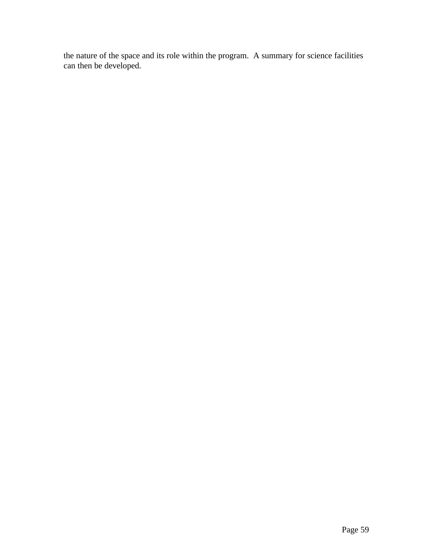the nature of the space and its role within the program. A summary for science facilities can then be developed.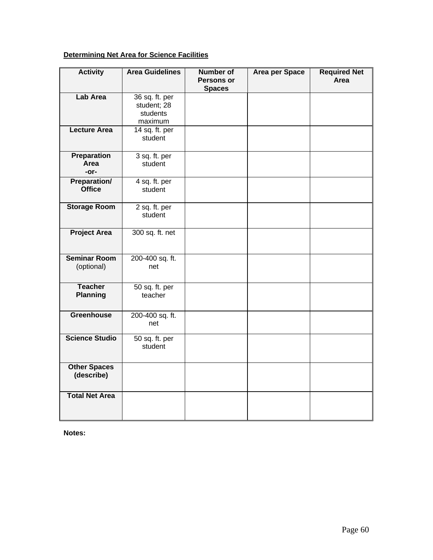## **Determining Net Area for Science Facilities**

| <b>Activity</b>                      | <b>Area Guidelines</b>                               | <b>Number of</b><br>Persons or | Area per Space | <b>Required Net</b><br>Area |
|--------------------------------------|------------------------------------------------------|--------------------------------|----------------|-----------------------------|
|                                      |                                                      | <b>Spaces</b>                  |                |                             |
| <b>Lab Area</b>                      | 36 sq. ft. per<br>student; 28<br>students<br>maximum |                                |                |                             |
| <b>Lecture Area</b>                  | 14 sq. ft. per<br>student                            |                                |                |                             |
| <b>Preparation</b><br>Area<br>$-0r-$ | 3 sq. ft. per<br>student                             |                                |                |                             |
| <b>Preparation/</b><br><b>Office</b> | 4 sq. ft. per<br>student                             |                                |                |                             |
| <b>Storage Room</b>                  | 2 sq. ft. per<br>student                             |                                |                |                             |
| <b>Project Area</b>                  | 300 sq. ft. net                                      |                                |                |                             |
| <b>Seminar Room</b><br>(optional)    | 200-400 sq. ft.<br>net                               |                                |                |                             |
| <b>Teacher</b><br><b>Planning</b>    | 50 sq. ft. per<br>teacher                            |                                |                |                             |
| <b>Greenhouse</b>                    | 200-400 sq. ft.<br>net                               |                                |                |                             |
| <b>Science Studio</b>                | 50 sq. ft. per<br>student                            |                                |                |                             |
| <b>Other Spaces</b><br>(describe)    |                                                      |                                |                |                             |
| <b>Total Net Area</b>                |                                                      |                                |                |                             |

**Notes:**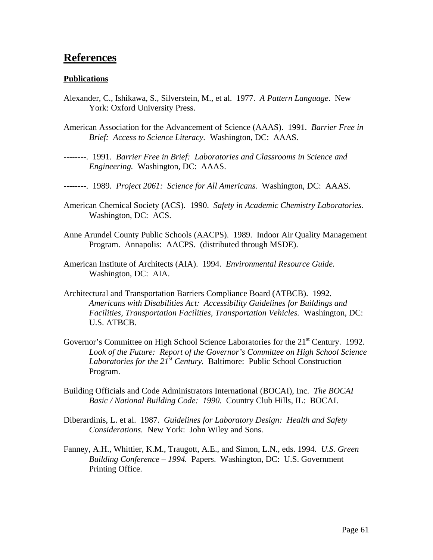## **References**

#### **Publications**

- Alexander, C., Ishikawa, S., Silverstein, M., et al. 1977. *A Pattern Language*. New York: Oxford University Press.
- American Association for the Advancement of Science (AAAS). 1991. *Barrier Free in Brief: Access to Science Literacy.* Washington, DC: AAAS.
- --------. 1991. *Barrier Free in Brief: Laboratories and Classrooms in Science and Engineering.* Washington, DC: AAAS.
- --------. 1989. *Project 2061: Science for All Americans.* Washington, DC: AAAS.
- American Chemical Society (ACS). 1990. *Safety in Academic Chemistry Laboratories.*  Washington, DC: ACS.
- Anne Arundel County Public Schools (AACPS). 1989. Indoor Air Quality Management Program. Annapolis: AACPS. (distributed through MSDE).
- American Institute of Architects (AIA). 1994. *Environmental Resource Guide.*  Washington, DC: AIA.
- Architectural and Transportation Barriers Compliance Board (ATBCB). 1992. *Americans with Disabilities Act: Accessibility Guidelines for Buildings and Facilities, Transportation Facilities, Transportation Vehicles.* Washington, DC: U.S. ATBCB.
- Governor's Committee on High School Science Laboratories for the 21<sup>st</sup> Century. 1992. *Look of the Future: Report of the Governor's Committee on High School Science Laboratories for the 21st Century.* Baltimore: Public School Construction Program.
- Building Officials and Code Administrators International (BOCAI), Inc. *The BOCAI Basic / National Building Code: 1990.* Country Club Hills, IL: BOCAI.
- Diberardinis, L. et al. 1987. *Guidelines for Laboratory Design: Health and Safety Considerations.* New York: John Wiley and Sons.
- Fanney, A.H., Whittier, K.M., Traugott, A.E., and Simon, L.N., eds. 1994. *U.S. Green Building Conference – 1994.* Papers. Washington, DC: U.S. Government Printing Office.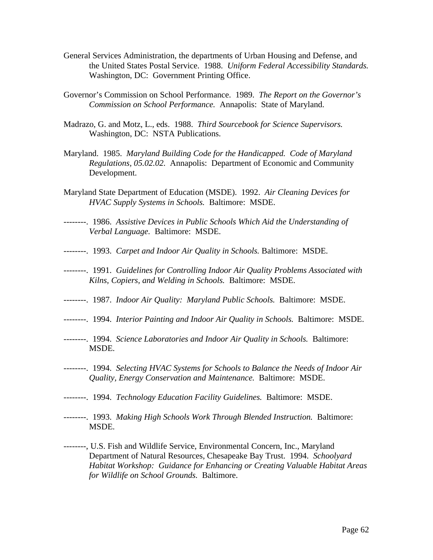- General Services Administration, the departments of Urban Housing and Defense, and the United States Postal Service. 1988. *Uniform Federal Accessibility Standards.*  Washington, DC: Government Printing Office.
- Governor's Commission on School Performance. 1989. *The Report on the Governor's Commission on School Performance.* Annapolis: State of Maryland.
- Madrazo, G. and Motz, L., eds. 1988. *Third Sourcebook for Science Supervisors.*  Washington, DC: NSTA Publications.
- Maryland. 1985. *Maryland Building Code for the Handicapped. Code of Maryland Regulations, 05.02.02.* Annapolis: Department of Economic and Community Development.
- Maryland State Department of Education (MSDE). 1992. *Air Cleaning Devices for HVAC Supply Systems in Schools.* Baltimore: MSDE.
- --------. 1986. *Assistive Devices in Public Schools Which Aid the Understanding of Verbal Language.* Baltimore: MSDE.
- --------. 1993. *Carpet and Indoor Air Quality in Schools.* Baltimore: MSDE.
- --------. 1991. *Guidelines for Controlling Indoor Air Quality Problems Associated with Kilns, Copiers, and Welding in Schools.* Baltimore: MSDE.
- --------. 1987. *Indoor Air Quality: Maryland Public Schools.* Baltimore: MSDE.
- --------. 1994. *Interior Painting and Indoor Air Quality in Schools.* Baltimore: MSDE.
- --------. 1994. *Science Laboratories and Indoor Air Quality in Schools.* Baltimore: MSDE.
- --------. 1994. *Selecting HVAC Systems for Schools to Balance the Needs of Indoor Air Quality, Energy Conservation and Maintenance.* Baltimore: MSDE.
- --------. 1994. *Technology Education Facility Guidelines.* Baltimore: MSDE.
- --------. 1993. *Making High Schools Work Through Blended Instruction.* Baltimore: MSDE.
- --------, U.S. Fish and Wildlife Service, Environmental Concern, Inc., Maryland Department of Natural Resources, Chesapeake Bay Trust. 1994. *Schoolyard Habitat Workshop: Guidance for Enhancing or Creating Valuable Habitat Areas for Wildlife on School Grounds.* Baltimore.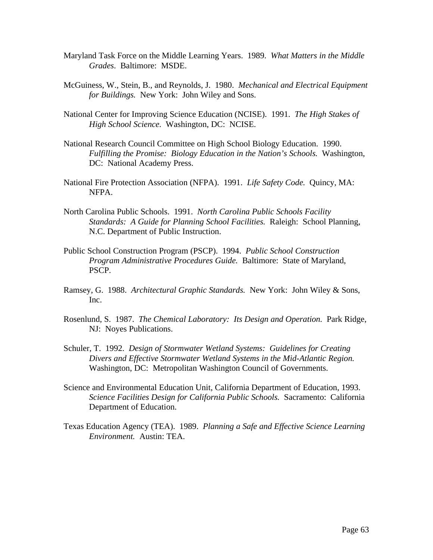- Maryland Task Force on the Middle Learning Years. 1989. *What Matters in the Middle Grades*. Baltimore: MSDE.
- McGuiness, W., Stein, B., and Reynolds, J. 1980. *Mechanical and Electrical Equipment for Buildings.* New York: John Wiley and Sons.
- National Center for Improving Science Education (NCISE). 1991. *The High Stakes of High School Science.* Washington, DC: NCISE.
- National Research Council Committee on High School Biology Education. 1990. *Fulfilling the Promise: Biology Education in the Nation's Schools.* Washington, DC: National Academy Press.
- National Fire Protection Association (NFPA). 1991. *Life Safety Code.* Quincy, MA: NFPA.
- North Carolina Public Schools. 1991. *North Carolina Public Schools Facility Standards: A Guide for Planning School Facilities.* Raleigh: School Planning, N.C. Department of Public Instruction.
- Public School Construction Program (PSCP). 1994. *Public School Construction Program Administrative Procedures Guide.* Baltimore: State of Maryland, PSCP.
- Ramsey, G. 1988. *Architectural Graphic Standards.* New York: John Wiley & Sons, Inc.
- Rosenlund, S. 1987. *The Chemical Laboratory: Its Design and Operation.* Park Ridge, NJ: Noyes Publications.
- Schuler, T. 1992. *Design of Stormwater Wetland Systems: Guidelines for Creating Divers and Effective Stormwater Wetland Systems in the Mid-Atlantic Region.*  Washington, DC: Metropolitan Washington Council of Governments.
- Science and Environmental Education Unit, California Department of Education, 1993. *Science Facilities Design for California Public Schools.* Sacramento: California Department of Education.
- Texas Education Agency (TEA). 1989. *Planning a Safe and Effective Science Learning Environment.* Austin: TEA.